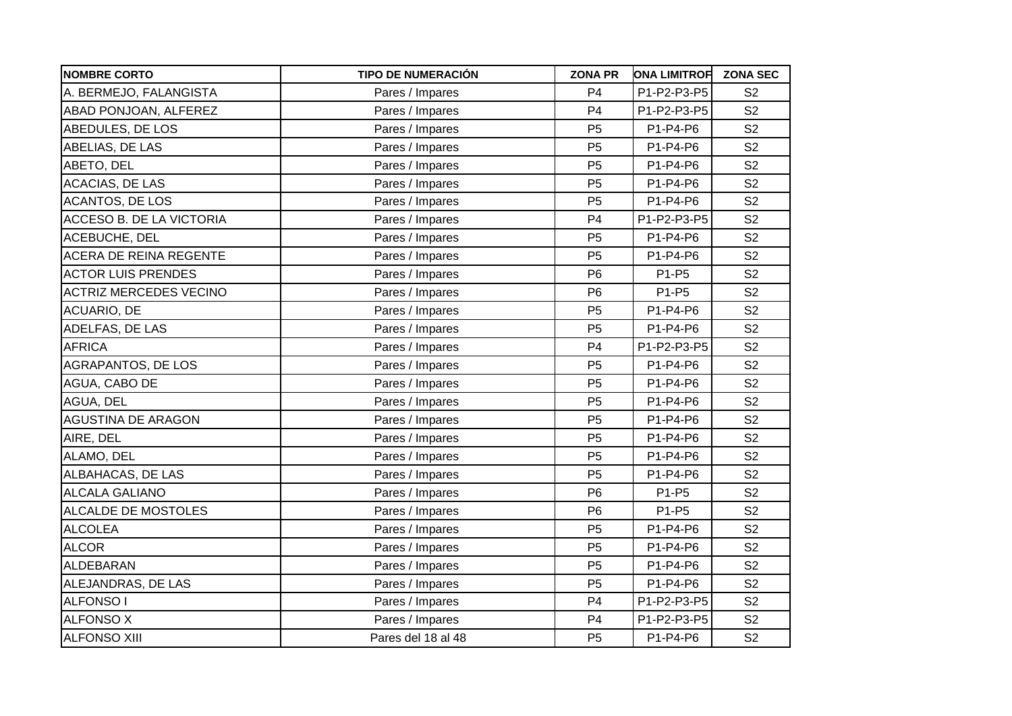| <b>NOMBRE CORTO</b>           | <b>TIPO DE NUMERACIÓN</b> | <b>ZONA PR</b> | <b>ONA LIMITROF</b> | <b>ZONA SEC</b> |
|-------------------------------|---------------------------|----------------|---------------------|-----------------|
| A. BERMEJO, FALANGISTA        | Pares / Impares           | P <sub>4</sub> | P1-P2-P3-P5         | S <sub>2</sub>  |
| ABAD PONJOAN, ALFEREZ         | Pares / Impares           | P <sub>4</sub> | P1-P2-P3-P5         | S <sub>2</sub>  |
| ABEDULES, DE LOS              | Pares / Impares           | P <sub>5</sub> | P1-P4-P6            | S <sub>2</sub>  |
| ABELIAS, DE LAS               | Pares / Impares           | P <sub>5</sub> | P1-P4-P6            | S <sub>2</sub>  |
| ABETO, DEL                    | Pares / Impares           | P <sub>5</sub> | P1-P4-P6            | S <sub>2</sub>  |
| <b>ACACIAS, DE LAS</b>        | Pares / Impares           | P <sub>5</sub> | P1-P4-P6            | S <sub>2</sub>  |
| <b>ACANTOS, DE LOS</b>        | Pares / Impares           | P <sub>5</sub> | P1-P4-P6            | S <sub>2</sub>  |
| ACCESO B. DE LA VICTORIA      | Pares / Impares           | P <sub>4</sub> | P1-P2-P3-P5         | S <sub>2</sub>  |
| ACEBUCHE, DEL                 | Pares / Impares           | P <sub>5</sub> | P1-P4-P6            | S <sub>2</sub>  |
| ACERA DE REINA REGENTE        | Pares / Impares           | P <sub>5</sub> | P1-P4-P6            | S <sub>2</sub>  |
| <b>ACTOR LUIS PRENDES</b>     | Pares / Impares           | P <sub>6</sub> | P1-P5               | S <sub>2</sub>  |
| <b>ACTRIZ MERCEDES VECINO</b> | Pares / Impares           | P <sub>6</sub> | P1-P5               | S <sub>2</sub>  |
| <b>ACUARIO, DE</b>            | Pares / Impares           | P <sub>5</sub> | P1-P4-P6            | S <sub>2</sub>  |
| ADELFAS, DE LAS               | Pares / Impares           | P <sub>5</sub> | P1-P4-P6            | S <sub>2</sub>  |
| <b>AFRICA</b>                 | Pares / Impares           | P <sub>4</sub> | P1-P2-P3-P5         | S <sub>2</sub>  |
| AGRAPANTOS, DE LOS            | Pares / Impares           | P <sub>5</sub> | P1-P4-P6            | S <sub>2</sub>  |
| AGUA, CABO DE                 | Pares / Impares           | P <sub>5</sub> | P1-P4-P6            | S <sub>2</sub>  |
| AGUA, DEL                     | Pares / Impares           | P <sub>5</sub> | P1-P4-P6            | S <sub>2</sub>  |
| <b>AGUSTINA DE ARAGON</b>     | Pares / Impares           | P <sub>5</sub> | P1-P4-P6            | S <sub>2</sub>  |
| AIRE, DEL                     | Pares / Impares           | P <sub>5</sub> | P1-P4-P6            | S <sub>2</sub>  |
| ALAMO, DEL                    | Pares / Impares           | P <sub>5</sub> | P1-P4-P6            | S <sub>2</sub>  |
| ALBAHACAS, DE LAS             | Pares / Impares           | P <sub>5</sub> | P1-P4-P6            | S <sub>2</sub>  |
| <b>ALCALA GALIANO</b>         | Pares / Impares           | P <sub>6</sub> | P1-P5               | S <sub>2</sub>  |
| ALCALDE DE MOSTOLES           | Pares / Impares           | P <sub>6</sub> | P1-P5               | S <sub>2</sub>  |
| <b>ALCOLEA</b>                | Pares / Impares           | P <sub>5</sub> | P1-P4-P6            | S <sub>2</sub>  |
| <b>ALCOR</b>                  | Pares / Impares           | P <sub>5</sub> | P1-P4-P6            | S <sub>2</sub>  |
| <b>ALDEBARAN</b>              | Pares / Impares           | P <sub>5</sub> | P1-P4-P6            | S <sub>2</sub>  |
| ALEJANDRAS, DE LAS            | Pares / Impares           | P <sub>5</sub> | P1-P4-P6            | S <sub>2</sub>  |
| <b>ALFONSO1</b>               | Pares / Impares           | P <sub>4</sub> | P1-P2-P3-P5         | S <sub>2</sub>  |
| <b>ALFONSO X</b>              | Pares / Impares           | P <sub>4</sub> | P1-P2-P3-P5         | S <sub>2</sub>  |
| <b>ALFONSO XIII</b>           | Pares del 18 al 48        | P <sub>5</sub> | P1-P4-P6            | S <sub>2</sub>  |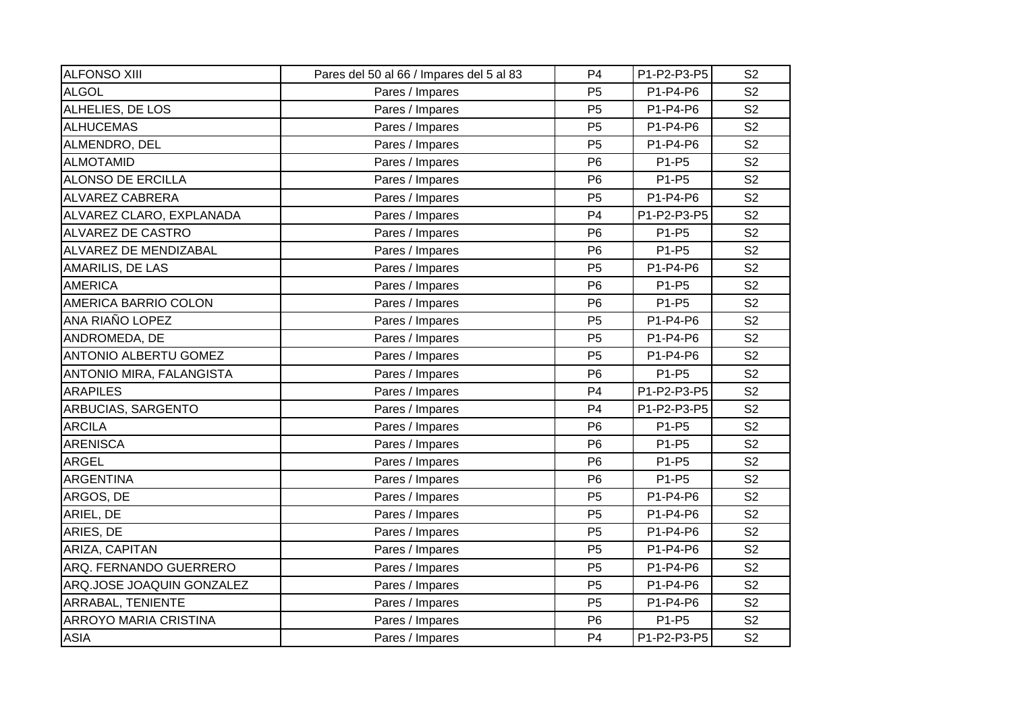| <b>ALFONSO XIII</b>          | Pares del 50 al 66 / Impares del 5 al 83 | P <sub>4</sub> | P1-P2-P3-P5 | S <sub>2</sub> |
|------------------------------|------------------------------------------|----------------|-------------|----------------|
| <b>ALGOL</b>                 | Pares / Impares                          | P <sub>5</sub> | P1-P4-P6    | S <sub>2</sub> |
| ALHELIES, DE LOS             | Pares / Impares                          | P <sub>5</sub> | P1-P4-P6    | S <sub>2</sub> |
| ALHUCEMAS                    | Pares / Impares                          | P <sub>5</sub> | P1-P4-P6    | S <sub>2</sub> |
| ALMENDRO, DEL                | Pares / Impares                          | P <sub>5</sub> | P1-P4-P6    | S <sub>2</sub> |
| ALMOTAMID                    | Pares / Impares                          | P <sub>6</sub> | P1-P5       | S <sub>2</sub> |
| <b>ALONSO DE ERCILLA</b>     | Pares / Impares                          | P <sub>6</sub> | P1-P5       | S <sub>2</sub> |
| <b>ALVAREZ CABRERA</b>       | Pares / Impares                          | P <sub>5</sub> | P1-P4-P6    | S <sub>2</sub> |
| ALVAREZ CLARO, EXPLANADA     | Pares / Impares                          | P <sub>4</sub> | P1-P2-P3-P5 | S <sub>2</sub> |
| <b>ALVAREZ DE CASTRO</b>     | Pares / Impares                          | P <sub>6</sub> | P1-P5       | S <sub>2</sub> |
| ALVAREZ DE MENDIZABAL        | Pares / Impares                          | P <sub>6</sub> | P1-P5       | S <sub>2</sub> |
| AMARILIS, DE LAS             | Pares / Impares                          | P <sub>5</sub> | P1-P4-P6    | S <sub>2</sub> |
| <b>AMERICA</b>               | Pares / Impares                          | P <sub>6</sub> | P1-P5       | S <sub>2</sub> |
| AMERICA BARRIO COLON         | Pares / Impares                          | P <sub>6</sub> | P1-P5       | S <sub>2</sub> |
| ANA RIAÑO LOPEZ              | Pares / Impares                          | P <sub>5</sub> | P1-P4-P6    | S <sub>2</sub> |
| ANDROMEDA, DE                | Pares / Impares                          | P <sub>5</sub> | P1-P4-P6    | S <sub>2</sub> |
| <b>ANTONIO ALBERTU GOMEZ</b> | Pares / Impares                          | P <sub>5</sub> | P1-P4-P6    | S <sub>2</sub> |
| ANTONIO MIRA, FALANGISTA     | Pares / Impares                          | P <sub>6</sub> | P1-P5       | S <sub>2</sub> |
| <b>ARAPILES</b>              | Pares / Impares                          | P <sub>4</sub> | P1-P2-P3-P5 | S <sub>2</sub> |
| ARBUCIAS, SARGENTO           | Pares / Impares                          | P <sub>4</sub> | P1-P2-P3-P5 | S <sub>2</sub> |
| <b>ARCILA</b>                | Pares / Impares                          | P <sub>6</sub> | P1-P5       | S <sub>2</sub> |
| <b>ARENISCA</b>              | Pares / Impares                          | P <sub>6</sub> | P1-P5       | S <sub>2</sub> |
| <b>ARGEL</b>                 | Pares / Impares                          | P <sub>6</sub> | P1-P5       | S <sub>2</sub> |
| <b>ARGENTINA</b>             | Pares / Impares                          | P <sub>6</sub> | P1-P5       | S <sub>2</sub> |
| ARGOS, DE                    | Pares / Impares                          | P <sub>5</sub> | P1-P4-P6    | S <sub>2</sub> |
| ARIEL, DE                    | Pares / Impares                          | P <sub>5</sub> | P1-P4-P6    | S <sub>2</sub> |
| ARIES, DE                    | Pares / Impares                          | P <sub>5</sub> | P1-P4-P6    | S <sub>2</sub> |
| ARIZA, CAPITAN               | Pares / Impares                          | P <sub>5</sub> | P1-P4-P6    | S <sub>2</sub> |
| ARQ. FERNANDO GUERRERO       | Pares / Impares                          | P <sub>5</sub> | P1-P4-P6    | S <sub>2</sub> |
| ARQ.JOSE JOAQUIN GONZALEZ    | Pares / Impares                          | P <sub>5</sub> | P1-P4-P6    | S <sub>2</sub> |
| ARRABAL, TENIENTE            | Pares / Impares                          | P <sub>5</sub> | P1-P4-P6    | S <sub>2</sub> |
| <b>ARROYO MARIA CRISTINA</b> | Pares / Impares                          | P <sub>6</sub> | P1-P5       | S <sub>2</sub> |
| <b>ASIA</b>                  | Pares / Impares                          | P <sub>4</sub> | P1-P2-P3-P5 | S <sub>2</sub> |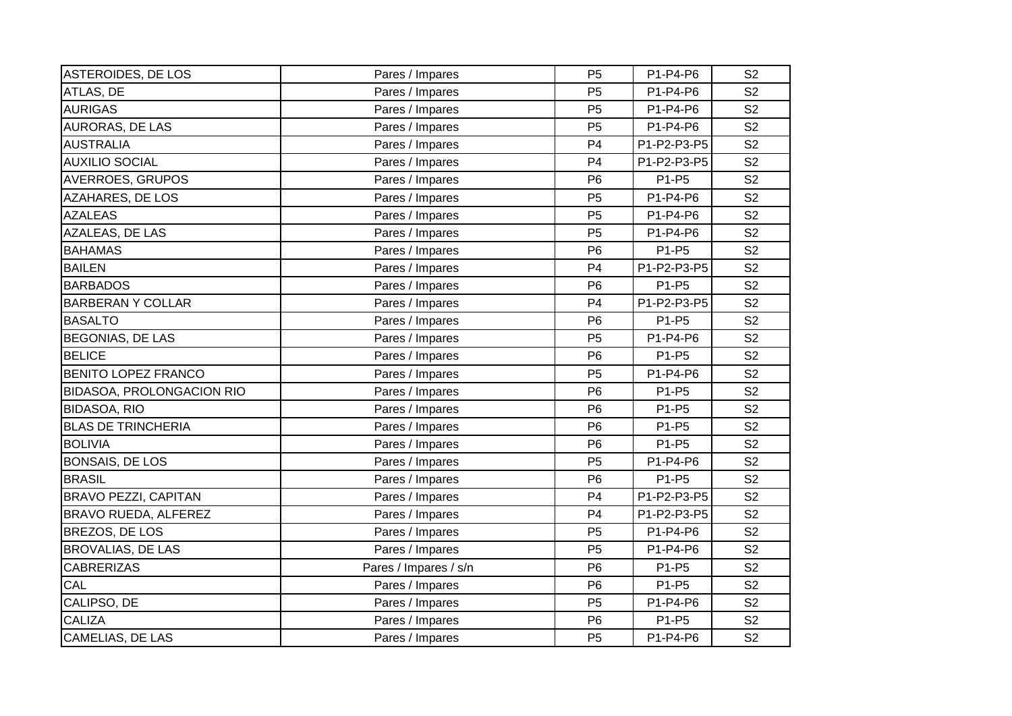| <b>ASTEROIDES, DE LOS</b>   | Pares / Impares       | P <sub>5</sub> | P1-P4-P6    | S <sub>2</sub> |
|-----------------------------|-----------------------|----------------|-------------|----------------|
| ATLAS, DE                   | Pares / Impares       | P <sub>5</sub> | P1-P4-P6    | S <sub>2</sub> |
| <b>AURIGAS</b>              | Pares / Impares       | P <sub>5</sub> | P1-P4-P6    | S <sub>2</sub> |
| AURORAS, DE LAS             | Pares / Impares       | P <sub>5</sub> | P1-P4-P6    | S <sub>2</sub> |
| <b>AUSTRALIA</b>            | Pares / Impares       | P <sub>4</sub> | P1-P2-P3-P5 | S <sub>2</sub> |
| <b>AUXILIO SOCIAL</b>       | Pares / Impares       | P <sub>4</sub> | P1-P2-P3-P5 | S <sub>2</sub> |
| <b>AVERROES, GRUPOS</b>     | Pares / Impares       | P <sub>6</sub> | P1-P5       | S <sub>2</sub> |
| <b>AZAHARES, DE LOS</b>     | Pares / Impares       | P <sub>5</sub> | P1-P4-P6    | S <sub>2</sub> |
| <b>AZALEAS</b>              | Pares / Impares       | P <sub>5</sub> | P1-P4-P6    | S <sub>2</sub> |
| AZALEAS, DE LAS             | Pares / Impares       | P <sub>5</sub> | P1-P4-P6    | S <sub>2</sub> |
| <b>BAHAMAS</b>              | Pares / Impares       | P <sub>6</sub> | P1-P5       | S <sub>2</sub> |
| <b>BAILEN</b>               | Pares / Impares       | P <sub>4</sub> | P1-P2-P3-P5 | S <sub>2</sub> |
| <b>BARBADOS</b>             | Pares / Impares       | P <sub>6</sub> | P1-P5       | S <sub>2</sub> |
| <b>BARBERAN Y COLLAR</b>    | Pares / Impares       | P <sub>4</sub> | P1-P2-P3-P5 | S <sub>2</sub> |
| <b>BASALTO</b>              | Pares / Impares       | P <sub>6</sub> | P1-P5       | S <sub>2</sub> |
| <b>BEGONIAS, DE LAS</b>     | Pares / Impares       | P <sub>5</sub> | P1-P4-P6    | S <sub>2</sub> |
| <b>BELICE</b>               | Pares / Impares       | P <sub>6</sub> | P1-P5       | S <sub>2</sub> |
| <b>BENITO LOPEZ FRANCO</b>  | Pares / Impares       | P <sub>5</sub> | P1-P4-P6    | S <sub>2</sub> |
| BIDASOA, PROLONGACION RIO   | Pares / Impares       | P <sub>6</sub> | P1-P5       | S <sub>2</sub> |
| <b>BIDASOA, RIO</b>         | Pares / Impares       | P <sub>6</sub> | P1-P5       | S <sub>2</sub> |
| <b>BLAS DE TRINCHERIA</b>   | Pares / Impares       | P <sub>6</sub> | P1-P5       | S <sub>2</sub> |
| <b>BOLIVIA</b>              | Pares / Impares       | P <sub>6</sub> | P1-P5       | S <sub>2</sub> |
| <b>BONSAIS, DE LOS</b>      | Pares / Impares       | P <sub>5</sub> | P1-P4-P6    | S <sub>2</sub> |
| <b>BRASIL</b>               | Pares / Impares       | P <sub>6</sub> | P1-P5       | S <sub>2</sub> |
| <b>BRAVO PEZZI, CAPITAN</b> | Pares / Impares       | P <sub>4</sub> | P1-P2-P3-P5 | S <sub>2</sub> |
| BRAVO RUEDA, ALFEREZ        | Pares / Impares       | P <sub>4</sub> | P1-P2-P3-P5 | S <sub>2</sub> |
| BREZOS, DE LOS              | Pares / Impares       | P <sub>5</sub> | P1-P4-P6    | S <sub>2</sub> |
| <b>BROVALIAS, DE LAS</b>    | Pares / Impares       | P <sub>5</sub> | P1-P4-P6    | S <sub>2</sub> |
| <b>CABRERIZAS</b>           | Pares / Impares / s/n | P <sub>6</sub> | P1-P5       | S <sub>2</sub> |
| CAL                         | Pares / Impares       | P <sub>6</sub> | P1-P5       | S <sub>2</sub> |
| CALIPSO, DE                 | Pares / Impares       | P <sub>5</sub> | P1-P4-P6    | S <sub>2</sub> |
| <b>CALIZA</b>               | Pares / Impares       | P <sub>6</sub> | P1-P5       | S <sub>2</sub> |
| CAMELIAS, DE LAS            | Pares / Impares       | P <sub>5</sub> | P1-P4-P6    | S <sub>2</sub> |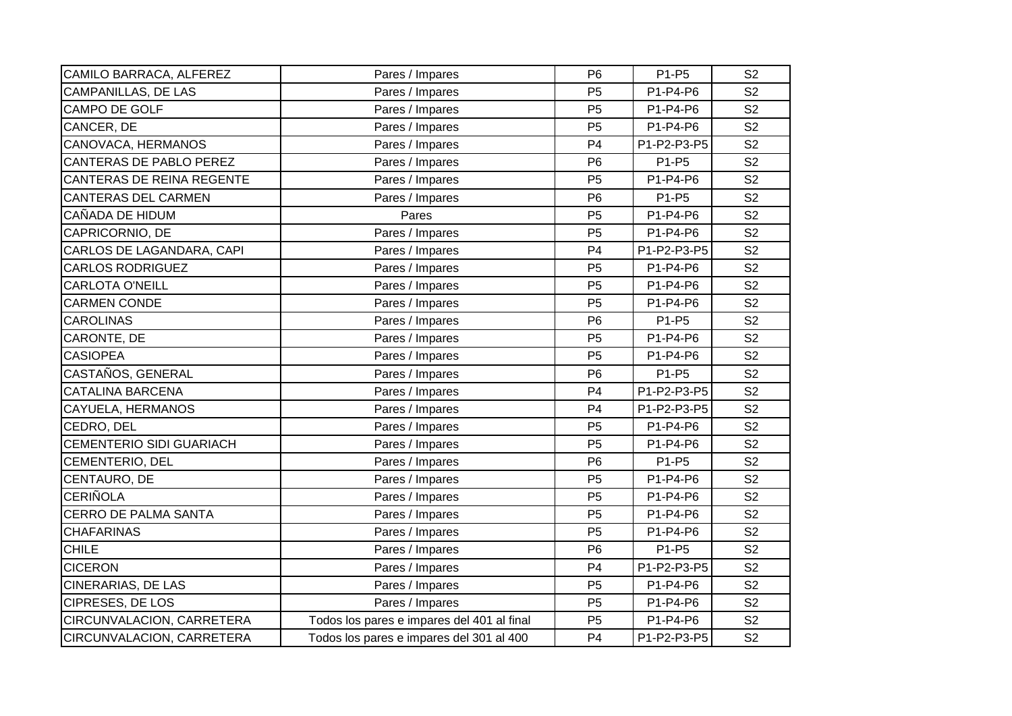| CAMILO BARRACA, ALFEREZ         | Pares / Impares                            | P <sub>6</sub> | P1-P5       | S <sub>2</sub> |
|---------------------------------|--------------------------------------------|----------------|-------------|----------------|
| <b>CAMPANILLAS, DE LAS</b>      | Pares / Impares                            | P <sub>5</sub> | P1-P4-P6    | S <sub>2</sub> |
| CAMPO DE GOLF                   | Pares / Impares                            | P <sub>5</sub> | P1-P4-P6    | S <sub>2</sub> |
| CANCER, DE                      | Pares / Impares                            | P <sub>5</sub> | P1-P4-P6    | S <sub>2</sub> |
| CANOVACA, HERMANOS              | Pares / Impares                            | P <sub>4</sub> | P1-P2-P3-P5 | S <sub>2</sub> |
| CANTERAS DE PABLO PEREZ         | Pares / Impares                            | P <sub>6</sub> | P1-P5       | S <sub>2</sub> |
| CANTERAS DE REINA REGENTE       | Pares / Impares                            | P <sub>5</sub> | P1-P4-P6    | S <sub>2</sub> |
| <b>CANTERAS DEL CARMEN</b>      | Pares / Impares                            | P <sub>6</sub> | P1-P5       | S <sub>2</sub> |
| CAÑADA DE HIDUM                 | Pares                                      | P <sub>5</sub> | P1-P4-P6    | S <sub>2</sub> |
| CAPRICORNIO, DE                 | Pares / Impares                            | P <sub>5</sub> | P1-P4-P6    | S <sub>2</sub> |
| CARLOS DE LAGANDARA, CAPI       | Pares / Impares                            | P <sub>4</sub> | P1-P2-P3-P5 | S <sub>2</sub> |
| <b>CARLOS RODRIGUEZ</b>         | Pares / Impares                            | P <sub>5</sub> | P1-P4-P6    | S <sub>2</sub> |
| <b>CARLOTA O'NEILL</b>          | Pares / Impares                            | P <sub>5</sub> | P1-P4-P6    | S <sub>2</sub> |
| <b>CARMEN CONDE</b>             | Pares / Impares                            | P <sub>5</sub> | P1-P4-P6    | S <sub>2</sub> |
| <b>CAROLINAS</b>                | Pares / Impares                            | P <sub>6</sub> | P1-P5       | S <sub>2</sub> |
| CARONTE, DE                     | Pares / Impares                            | P <sub>5</sub> | P1-P4-P6    | S <sub>2</sub> |
| <b>CASIOPEA</b>                 | Pares / Impares                            | P <sub>5</sub> | P1-P4-P6    | S <sub>2</sub> |
| CASTAÑOS, GENERAL               | Pares / Impares                            | P <sub>6</sub> | P1-P5       | S <sub>2</sub> |
| <b>CATALINA BARCENA</b>         | Pares / Impares                            | P <sub>4</sub> | P1-P2-P3-P5 | S <sub>2</sub> |
| CAYUELA, HERMANOS               | Pares / Impares                            | P <sub>4</sub> | P1-P2-P3-P5 | S <sub>2</sub> |
| CEDRO, DEL                      | Pares / Impares                            | P <sub>5</sub> | P1-P4-P6    | S <sub>2</sub> |
| <b>CEMENTERIO SIDI GUARIACH</b> | Pares / Impares                            | P <sub>5</sub> | P1-P4-P6    | S <sub>2</sub> |
| <b>CEMENTERIO, DEL</b>          | Pares / Impares                            | P <sub>6</sub> | P1-P5       | S <sub>2</sub> |
| CENTAURO, DE                    | Pares / Impares                            | P <sub>5</sub> | P1-P4-P6    | S <sub>2</sub> |
| <b>CERIÑOLA</b>                 | Pares / Impares                            | P <sub>5</sub> | P1-P4-P6    | S <sub>2</sub> |
| <b>CERRO DE PALMA SANTA</b>     | Pares / Impares                            | P <sub>5</sub> | P1-P4-P6    | S <sub>2</sub> |
| <b>CHAFARINAS</b>               | Pares / Impares                            | P <sub>5</sub> | P1-P4-P6    | S <sub>2</sub> |
| <b>CHILE</b>                    | Pares / Impares                            | P <sub>6</sub> | P1-P5       | S <sub>2</sub> |
| <b>CICERON</b>                  | Pares / Impares                            | P <sub>4</sub> | P1-P2-P3-P5 | S <sub>2</sub> |
| <b>CINERARIAS, DE LAS</b>       | Pares / Impares                            | P <sub>5</sub> | P1-P4-P6    | S <sub>2</sub> |
| <b>CIPRESES, DE LOS</b>         | Pares / Impares                            | P <sub>5</sub> | P1-P4-P6    | S <sub>2</sub> |
| CIRCUNVALACION, CARRETERA       | Todos los pares e impares del 401 al final | P <sub>5</sub> | P1-P4-P6    | S <sub>2</sub> |
| CIRCUNVALACION, CARRETERA       | Todos los pares e impares del 301 al 400   | P <sub>4</sub> | P1-P2-P3-P5 | S <sub>2</sub> |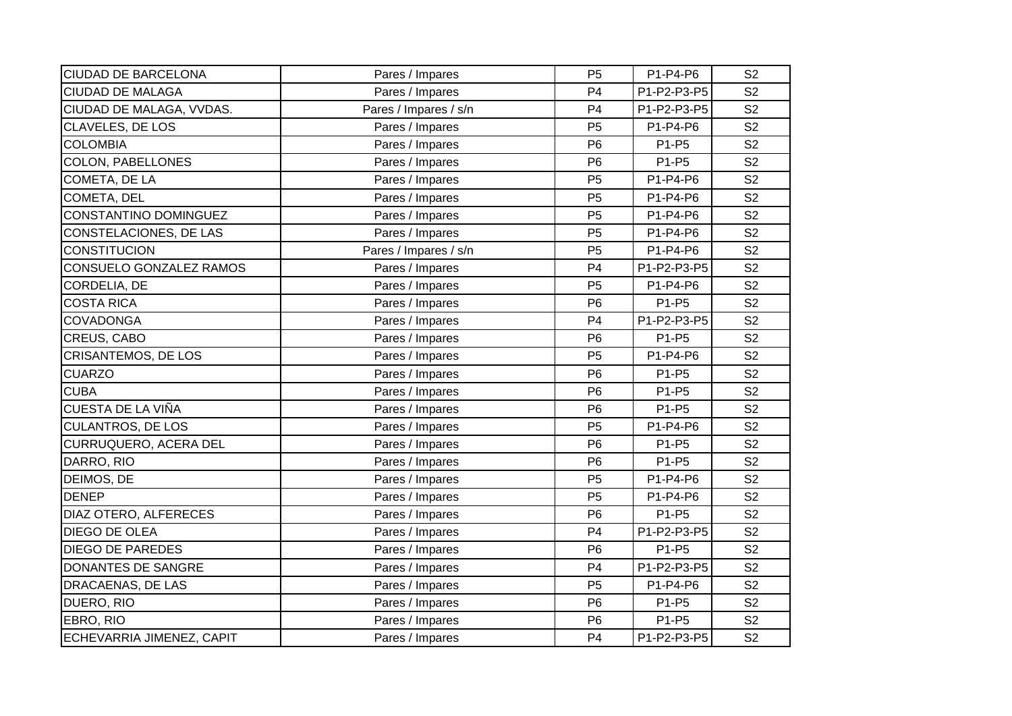| <b>CIUDAD DE BARCELONA</b>    | Pares / Impares       | P <sub>5</sub> | P1-P4-P6    | S <sub>2</sub> |
|-------------------------------|-----------------------|----------------|-------------|----------------|
| <b>CIUDAD DE MALAGA</b>       | Pares / Impares       | P <sub>4</sub> | P1-P2-P3-P5 | S <sub>2</sub> |
| CIUDAD DE MALAGA, VVDAS.      | Pares / Impares / s/n | P <sub>4</sub> | P1-P2-P3-P5 | S <sub>2</sub> |
| <b>CLAVELES, DE LOS</b>       | Pares / Impares       | P <sub>5</sub> | P1-P4-P6    | S <sub>2</sub> |
| <b>COLOMBIA</b>               | Pares / Impares       | P <sub>6</sub> | P1-P5       | S <sub>2</sub> |
| <b>COLON, PABELLONES</b>      | Pares / Impares       | P <sub>6</sub> | P1-P5       | S <sub>2</sub> |
| COMETA, DE LA                 | Pares / Impares       | P <sub>5</sub> | P1-P4-P6    | S <sub>2</sub> |
| COMETA, DEL                   | Pares / Impares       | P <sub>5</sub> | P1-P4-P6    | S <sub>2</sub> |
| CONSTANTINO DOMINGUEZ         | Pares / Impares       | P <sub>5</sub> | P1-P4-P6    | S <sub>2</sub> |
| <b>CONSTELACIONES, DE LAS</b> | Pares / Impares       | P <sub>5</sub> | P1-P4-P6    | S <sub>2</sub> |
| <b>CONSTITUCION</b>           | Pares / Impares / s/n | P <sub>5</sub> | P1-P4-P6    | S <sub>2</sub> |
| CONSUELO GONZALEZ RAMOS       | Pares / Impares       | P <sub>4</sub> | P1-P2-P3-P5 | S <sub>2</sub> |
| CORDELIA, DE                  | Pares / Impares       | P <sub>5</sub> | P1-P4-P6    | S <sub>2</sub> |
| <b>COSTA RICA</b>             | Pares / Impares       | P <sub>6</sub> | P1-P5       | S <sub>2</sub> |
| <b>COVADONGA</b>              | Pares / Impares       | P <sub>4</sub> | P1-P2-P3-P5 | S <sub>2</sub> |
| CREUS, CABO                   | Pares / Impares       | P <sub>6</sub> | P1-P5       | S <sub>2</sub> |
| <b>CRISANTEMOS, DE LOS</b>    | Pares / Impares       | P <sub>5</sub> | P1-P4-P6    | S <sub>2</sub> |
| <b>CUARZO</b>                 | Pares / Impares       | P <sub>6</sub> | P1-P5       | S <sub>2</sub> |
| <b>CUBA</b>                   | Pares / Impares       | P <sub>6</sub> | P1-P5       | S <sub>2</sub> |
| CUESTA DE LA VIÑA             | Pares / Impares       | P <sub>6</sub> | P1-P5       | S <sub>2</sub> |
| <b>CULANTROS, DE LOS</b>      | Pares / Impares       | <b>P5</b>      | P1-P4-P6    | S <sub>2</sub> |
| CURRUQUERO, ACERA DEL         | Pares / Impares       | P <sub>6</sub> | P1-P5       | S <sub>2</sub> |
| DARRO, RIO                    | Pares / Impares       | P <sub>6</sub> | P1-P5       | S <sub>2</sub> |
| DEIMOS, DE                    | Pares / Impares       | P <sub>5</sub> | P1-P4-P6    | S <sub>2</sub> |
| <b>DENEP</b>                  | Pares / Impares       | P <sub>5</sub> | P1-P4-P6    | S <sub>2</sub> |
| DIAZ OTERO, ALFERECES         | Pares / Impares       | P <sub>6</sub> | P1-P5       | S <sub>2</sub> |
| <b>DIEGO DE OLEA</b>          | Pares / Impares       | P <sub>4</sub> | P1-P2-P3-P5 | S <sub>2</sub> |
| <b>DIEGO DE PAREDES</b>       | Pares / Impares       | P <sub>6</sub> | P1-P5       | S <sub>2</sub> |
| <b>DONANTES DE SANGRE</b>     | Pares / Impares       | P <sub>4</sub> | P1-P2-P3-P5 | S <sub>2</sub> |
| DRACAENAS, DE LAS             | Pares / Impares       | P <sub>5</sub> | P1-P4-P6    | S <sub>2</sub> |
| DUERO, RIO                    | Pares / Impares       | P <sub>6</sub> | P1-P5       | S <sub>2</sub> |
| EBRO, RIO                     | Pares / Impares       | P <sub>6</sub> | P1-P5       | S <sub>2</sub> |
| ECHEVARRIA JIMENEZ, CAPIT     | Pares / Impares       | P <sub>4</sub> | P1-P2-P3-P5 | S <sub>2</sub> |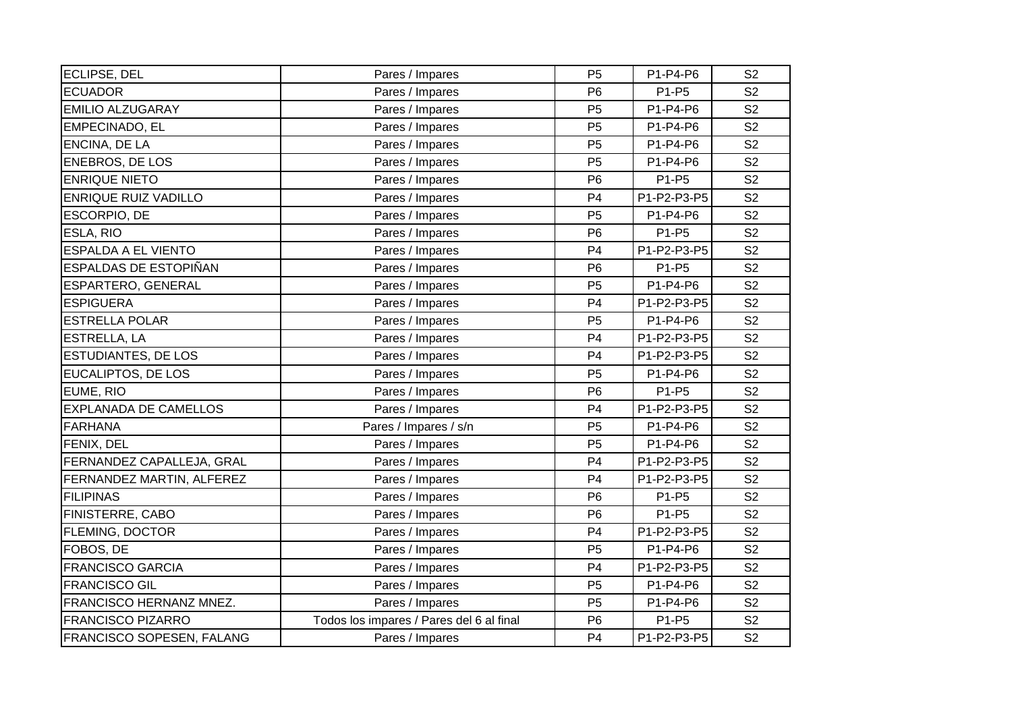| ECLIPSE, DEL                     | Pares / Impares                          | P <sub>5</sub> | P1-P4-P6    | S <sub>2</sub> |
|----------------------------------|------------------------------------------|----------------|-------------|----------------|
| <b>ECUADOR</b>                   | Pares / Impares                          | P <sub>6</sub> | P1-P5       | S <sub>2</sub> |
| <b>EMILIO ALZUGARAY</b>          | Pares / Impares                          | P <sub>5</sub> | P1-P4-P6    | S <sub>2</sub> |
| EMPECINADO, EL                   | Pares / Impares                          | P <sub>5</sub> | P1-P4-P6    | S <sub>2</sub> |
| <b>ENCINA, DE LA</b>             | Pares / Impares                          | P <sub>5</sub> | P1-P4-P6    | S <sub>2</sub> |
| ENEBROS, DE LOS                  | Pares / Impares                          | P <sub>5</sub> | P1-P4-P6    | S <sub>2</sub> |
| <b>ENRIQUE NIETO</b>             | Pares / Impares                          | P <sub>6</sub> | P1-P5       | S <sub>2</sub> |
| <b>ENRIQUE RUIZ VADILLO</b>      | Pares / Impares                          | P <sub>4</sub> | P1-P2-P3-P5 | S <sub>2</sub> |
| ESCORPIO, DE                     | Pares / Impares                          | P <sub>5</sub> | P1-P4-P6    | S <sub>2</sub> |
| ESLA, RIO                        | Pares / Impares                          | P <sub>6</sub> | P1-P5       | S <sub>2</sub> |
| ESPALDA A EL VIENTO              | Pares / Impares                          | P <sub>4</sub> | P1-P2-P3-P5 | S <sub>2</sub> |
| ESPALDAS DE ESTOPIÑAN            | Pares / Impares                          | P <sub>6</sub> | P1-P5       | S <sub>2</sub> |
| ESPARTERO, GENERAL               | Pares / Impares                          | P <sub>5</sub> | P1-P4-P6    | S <sub>2</sub> |
| <b>ESPIGUERA</b>                 | Pares / Impares                          | P <sub>4</sub> | P1-P2-P3-P5 | S <sub>2</sub> |
| <b>ESTRELLA POLAR</b>            | Pares / Impares                          | P <sub>5</sub> | P1-P4-P6    | S <sub>2</sub> |
| <b>ESTRELLA, LA</b>              | Pares / Impares                          | P <sub>4</sub> | P1-P2-P3-P5 | S <sub>2</sub> |
| <b>ESTUDIANTES, DE LOS</b>       | Pares / Impares                          | P <sub>4</sub> | P1-P2-P3-P5 | S <sub>2</sub> |
| EUCALIPTOS, DE LOS               | Pares / Impares                          | P <sub>5</sub> | P1-P4-P6    | S <sub>2</sub> |
| EUME, RIO                        | Pares / Impares                          | P <sub>6</sub> | P1-P5       | S <sub>2</sub> |
| <b>EXPLANADA DE CAMELLOS</b>     | Pares / Impares                          | P <sub>4</sub> | P1-P2-P3-P5 | S <sub>2</sub> |
| FARHANA                          | Pares / Impares / s/n                    | P <sub>5</sub> | P1-P4-P6    | S <sub>2</sub> |
| FENIX, DEL                       | Pares / Impares                          | P <sub>5</sub> | P1-P4-P6    | S <sub>2</sub> |
| FERNANDEZ CAPALLEJA, GRAL        | Pares / Impares                          | P <sub>4</sub> | P1-P2-P3-P5 | S <sub>2</sub> |
| FERNANDEZ MARTIN, ALFEREZ        | Pares / Impares                          | P <sub>4</sub> | P1-P2-P3-P5 | S <sub>2</sub> |
| <b>FILIPINAS</b>                 | Pares / Impares                          | P <sub>6</sub> | P1-P5       | S <sub>2</sub> |
| <b>FINISTERRE, CABO</b>          | Pares / Impares                          | P <sub>6</sub> | P1-P5       | S <sub>2</sub> |
| FLEMING, DOCTOR                  | Pares / Impares                          | P <sub>4</sub> | P1-P2-P3-P5 | S <sub>2</sub> |
| FOBOS, DE                        | Pares / Impares                          | P <sub>5</sub> | P1-P4-P6    | S <sub>2</sub> |
| <b>FRANCISCO GARCIA</b>          | Pares / Impares                          | P <sub>4</sub> | P1-P2-P3-P5 | S <sub>2</sub> |
| <b>FRANCISCO GIL</b>             | Pares / Impares                          | P <sub>5</sub> | P1-P4-P6    | S <sub>2</sub> |
| <b>FRANCISCO HERNANZ MNEZ.</b>   | Pares / Impares                          | P <sub>5</sub> | P1-P4-P6    | S <sub>2</sub> |
| <b>FRANCISCO PIZARRO</b>         | Todos los impares / Pares del 6 al final | P <sub>6</sub> | P1-P5       | S <sub>2</sub> |
| <b>FRANCISCO SOPESEN, FALANG</b> | Pares / Impares                          | P <sub>4</sub> | P1-P2-P3-P5 | S <sub>2</sub> |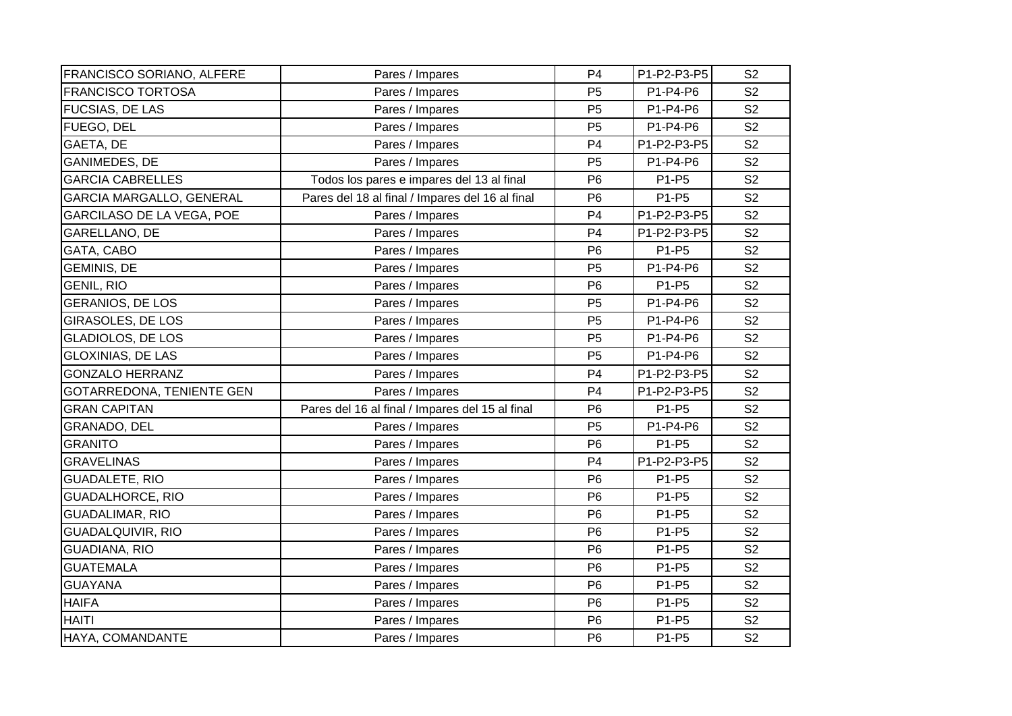| FRANCISCO SORIANO, ALFERE       | Pares / Impares                                 | P <sub>4</sub> | P1-P2-P3-P5 | S <sub>2</sub> |
|---------------------------------|-------------------------------------------------|----------------|-------------|----------------|
| <b>FRANCISCO TORTOSA</b>        | Pares / Impares                                 | P <sub>5</sub> | P1-P4-P6    | S <sub>2</sub> |
| <b>FUCSIAS, DE LAS</b>          | Pares / Impares                                 | P <sub>5</sub> | P1-P4-P6    | S <sub>2</sub> |
| FUEGO, DEL                      | Pares / Impares                                 | P <sub>5</sub> | P1-P4-P6    | S <sub>2</sub> |
| GAETA, DE                       | Pares / Impares                                 | P <sub>4</sub> | P1-P2-P3-P5 | S <sub>2</sub> |
| <b>GANIMEDES, DE</b>            | Pares / Impares                                 | P <sub>5</sub> | P1-P4-P6    | S <sub>2</sub> |
| <b>GARCIA CABRELLES</b>         | Todos los pares e impares del 13 al final       | P <sub>6</sub> | P1-P5       | S <sub>2</sub> |
| <b>GARCIA MARGALLO, GENERAL</b> | Pares del 18 al final / Impares del 16 al final | P <sub>6</sub> | P1-P5       | S <sub>2</sub> |
| GARCILASO DE LA VEGA, POE       | Pares / Impares                                 | P <sub>4</sub> | P1-P2-P3-P5 | S <sub>2</sub> |
| GARELLANO, DE                   | Pares / Impares                                 | P <sub>4</sub> | P1-P2-P3-P5 | S <sub>2</sub> |
| GATA, CABO                      | Pares / Impares                                 | P <sub>6</sub> | P1-P5       | S <sub>2</sub> |
| <b>GEMINIS, DE</b>              | Pares / Impares                                 | P <sub>5</sub> | P1-P4-P6    | S <sub>2</sub> |
| <b>GENIL, RIO</b>               | Pares / Impares                                 | P <sub>6</sub> | P1-P5       | S <sub>2</sub> |
| <b>GERANIOS, DE LOS</b>         | Pares / Impares                                 | P <sub>5</sub> | P1-P4-P6    | S <sub>2</sub> |
| <b>GIRASOLES, DE LOS</b>        | Pares / Impares                                 | P <sub>5</sub> | P1-P4-P6    | S <sub>2</sub> |
| <b>GLADIOLOS, DE LOS</b>        | Pares / Impares                                 | P <sub>5</sub> | P1-P4-P6    | S <sub>2</sub> |
| <b>GLOXINIAS, DE LAS</b>        | Pares / Impares                                 | P <sub>5</sub> | P1-P4-P6    | S <sub>2</sub> |
| <b>GONZALO HERRANZ</b>          | Pares / Impares                                 | P <sub>4</sub> | P1-P2-P3-P5 | S <sub>2</sub> |
| GOTARREDONA, TENIENTE GEN       | Pares / Impares                                 | P <sub>4</sub> | P1-P2-P3-P5 | S <sub>2</sub> |
| <b>GRAN CAPITAN</b>             | Pares del 16 al final / Impares del 15 al final | P <sub>6</sub> | P1-P5       | S <sub>2</sub> |
| GRANADO, DEL                    | Pares / Impares                                 | P <sub>5</sub> | P1-P4-P6    | S <sub>2</sub> |
| <b>GRANITO</b>                  | Pares / Impares                                 | P <sub>6</sub> | P1-P5       | S <sub>2</sub> |
| <b>GRAVELINAS</b>               | Pares / Impares                                 | P <sub>4</sub> | P1-P2-P3-P5 | S <sub>2</sub> |
| <b>GUADALETE, RIO</b>           | Pares / Impares                                 | P <sub>6</sub> | P1-P5       | S <sub>2</sub> |
| <b>GUADALHORCE, RIO</b>         | Pares / Impares                                 | P <sub>6</sub> | P1-P5       | S <sub>2</sub> |
| <b>GUADALIMAR, RIO</b>          | Pares / Impares                                 | P <sub>6</sub> | P1-P5       | S <sub>2</sub> |
| <b>GUADALQUIVIR, RIO</b>        | Pares / Impares                                 | P <sub>6</sub> | P1-P5       | S <sub>2</sub> |
| GUADIANA, RIO                   | Pares / Impares                                 | P <sub>6</sub> | P1-P5       | S <sub>2</sub> |
| <b>GUATEMALA</b>                | Pares / Impares                                 | P <sub>6</sub> | P1-P5       | S <sub>2</sub> |
| <b>GUAYANA</b>                  | Pares / Impares                                 | P <sub>6</sub> | P1-P5       | S <sub>2</sub> |
| <b>HAIFA</b>                    | Pares / Impares                                 | P <sub>6</sub> | P1-P5       | S <sub>2</sub> |
| <b>HAITI</b>                    | Pares / Impares                                 | P <sub>6</sub> | P1-P5       | S <sub>2</sub> |
| HAYA, COMANDANTE                | Pares / Impares                                 | P <sub>6</sub> | P1-P5       | S <sub>2</sub> |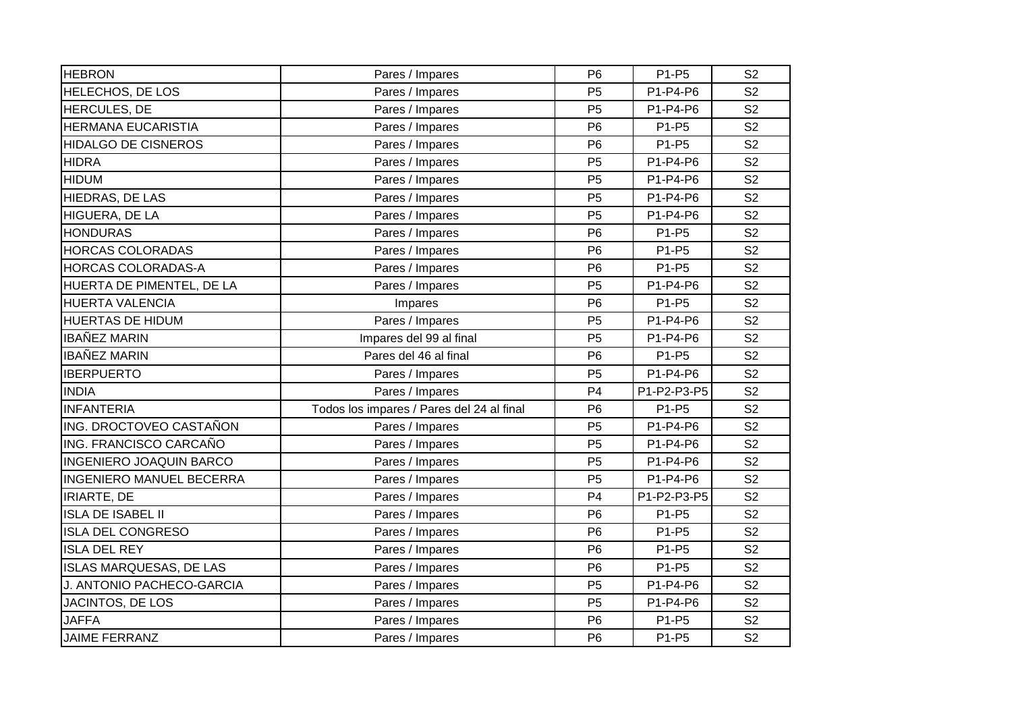| <b>HEBRON</b>                   | Pares / Impares                           | P <sub>6</sub> | P1-P5       | S <sub>2</sub> |
|---------------------------------|-------------------------------------------|----------------|-------------|----------------|
| <b>HELECHOS, DE LOS</b>         | Pares / Impares                           | P <sub>5</sub> | P1-P4-P6    | S <sub>2</sub> |
| HERCULES, DE                    | Pares / Impares                           | P <sub>5</sub> | P1-P4-P6    | S <sub>2</sub> |
| <b>HERMANA EUCARISTIA</b>       | Pares / Impares                           | P <sub>6</sub> | P1-P5       | S <sub>2</sub> |
| <b>HIDALGO DE CISNEROS</b>      | Pares / Impares                           | P <sub>6</sub> | P1-P5       | S <sub>2</sub> |
| <b>HIDRA</b>                    | Pares / Impares                           | P <sub>5</sub> | P1-P4-P6    | S <sub>2</sub> |
| <b>HIDUM</b>                    | Pares / Impares                           | P <sub>5</sub> | P1-P4-P6    | S <sub>2</sub> |
| HIEDRAS, DE LAS                 | Pares / Impares                           | P <sub>5</sub> | P1-P4-P6    | S <sub>2</sub> |
| HIGUERA, DE LA                  | Pares / Impares                           | P <sub>5</sub> | P1-P4-P6    | S <sub>2</sub> |
| <b>HONDURAS</b>                 | Pares / Impares                           | P <sub>6</sub> | P1-P5       | S <sub>2</sub> |
| <b>HORCAS COLORADAS</b>         | Pares / Impares                           | P <sub>6</sub> | P1-P5       | S <sub>2</sub> |
| <b>HORCAS COLORADAS-A</b>       | Pares / Impares                           | P <sub>6</sub> | P1-P5       | S <sub>2</sub> |
| HUERTA DE PIMENTEL, DE LA       | Pares / Impares                           | P <sub>5</sub> | P1-P4-P6    | S <sub>2</sub> |
| <b>HUERTA VALENCIA</b>          | Impares                                   | P <sub>6</sub> | P1-P5       | S <sub>2</sub> |
| <b>HUERTAS DE HIDUM</b>         | Pares / Impares                           | P <sub>5</sub> | P1-P4-P6    | S <sub>2</sub> |
| <b>IBAÑEZ MARIN</b>             | Impares del 99 al final                   | P <sub>5</sub> | P1-P4-P6    | S <sub>2</sub> |
| <b>IBAÑEZ MARIN</b>             | Pares del 46 al final                     | P <sub>6</sub> | P1-P5       | S <sub>2</sub> |
| <b>IBERPUERTO</b>               | Pares / Impares                           | P <sub>5</sub> | P1-P4-P6    | S <sub>2</sub> |
| <b>INDIA</b>                    | Pares / Impares                           | P <sub>4</sub> | P1-P2-P3-P5 | S <sub>2</sub> |
| <b>INFANTERIA</b>               | Todos los impares / Pares del 24 al final | P <sub>6</sub> | P1-P5       | S <sub>2</sub> |
| ING. DROCTOVEO CASTAÑON         | Pares / Impares                           | P <sub>5</sub> | P1-P4-P6    | S <sub>2</sub> |
| ING. FRANCISCO CARCAÑO          | Pares / Impares                           | P <sub>5</sub> | P1-P4-P6    | S <sub>2</sub> |
| <b>INGENIERO JOAQUIN BARCO</b>  | Pares / Impares                           | P <sub>5</sub> | P1-P4-P6    | S <sub>2</sub> |
| <b>INGENIERO MANUEL BECERRA</b> | Pares / Impares                           | P <sub>5</sub> | P1-P4-P6    | S <sub>2</sub> |
| <b>IRIARTE, DE</b>              | Pares / Impares                           | P <sub>4</sub> | P1-P2-P3-P5 | S <sub>2</sub> |
| <b>ISLA DE ISABEL II</b>        | Pares / Impares                           | P <sub>6</sub> | P1-P5       | S <sub>2</sub> |
| <b>ISLA DEL CONGRESO</b>        | Pares / Impares                           | P <sub>6</sub> | P1-P5       | S <sub>2</sub> |
| <b>ISLA DEL REY</b>             | Pares / Impares                           | P <sub>6</sub> | P1-P5       | S <sub>2</sub> |
| <b>ISLAS MARQUESAS, DE LAS</b>  | Pares / Impares                           | P <sub>6</sub> | P1-P5       | S <sub>2</sub> |
| J. ANTONIO PACHECO-GARCIA       | Pares / Impares                           | P <sub>5</sub> | P1-P4-P6    | S <sub>2</sub> |
| JACINTOS, DE LOS                | Pares / Impares                           | P <sub>5</sub> | P1-P4-P6    | S <sub>2</sub> |
| <b>JAFFA</b>                    | Pares / Impares                           | P <sub>6</sub> | P1-P5       | S <sub>2</sub> |
| <b>JAIME FERRANZ</b>            | Pares / Impares                           | P <sub>6</sub> | P1-P5       | S <sub>2</sub> |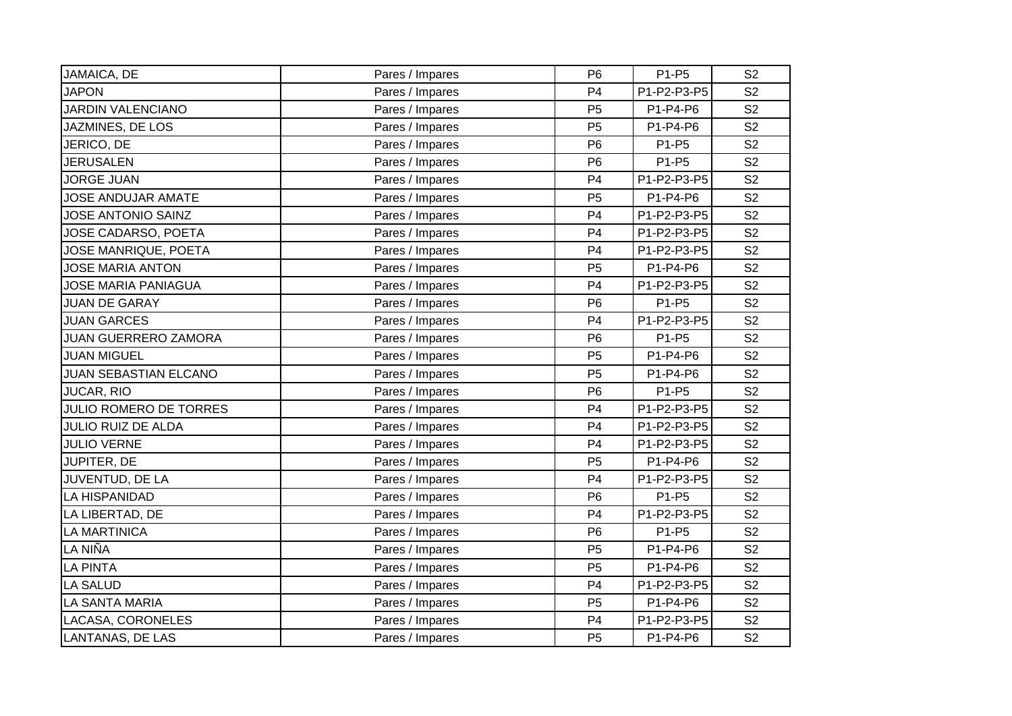| JAMAICA, DE                   | Pares / Impares | P <sub>6</sub> | P1-P5       | S <sub>2</sub> |
|-------------------------------|-----------------|----------------|-------------|----------------|
| <b>JAPON</b>                  | Pares / Impares | P <sub>4</sub> | P1-P2-P3-P5 | S <sub>2</sub> |
| <b>JARDIN VALENCIANO</b>      | Pares / Impares | P <sub>5</sub> | P1-P4-P6    | S <sub>2</sub> |
| JAZMINES, DE LOS              | Pares / Impares | P <sub>5</sub> | P1-P4-P6    | S <sub>2</sub> |
| JERICO, DE                    | Pares / Impares | P <sub>6</sub> | P1-P5       | S <sub>2</sub> |
| <b>JERUSALEN</b>              | Pares / Impares | P <sub>6</sub> | P1-P5       | S <sub>2</sub> |
| <b>JORGE JUAN</b>             | Pares / Impares | P <sub>4</sub> | P1-P2-P3-P5 | S <sub>2</sub> |
| JOSE ANDUJAR AMATE            | Pares / Impares | P <sub>5</sub> | P1-P4-P6    | S <sub>2</sub> |
| JOSE ANTONIO SAINZ            | Pares / Impares | P <sub>4</sub> | P1-P2-P3-P5 | S <sub>2</sub> |
| JOSE CADARSO, POETA           | Pares / Impares | P <sub>4</sub> | P1-P2-P3-P5 | S <sub>2</sub> |
| JOSE MANRIQUE, POETA          | Pares / Impares | P <sub>4</sub> | P1-P2-P3-P5 | S <sub>2</sub> |
| <b>JOSE MARIA ANTON</b>       | Pares / Impares | P <sub>5</sub> | P1-P4-P6    | S <sub>2</sub> |
| <b>JOSE MARIA PANIAGUA</b>    | Pares / Impares | P <sub>4</sub> | P1-P2-P3-P5 | S <sub>2</sub> |
| <b>JUAN DE GARAY</b>          | Pares / Impares | P <sub>6</sub> | P1-P5       | S <sub>2</sub> |
| <b>JUAN GARCES</b>            | Pares / Impares | P <sub>4</sub> | P1-P2-P3-P5 | S <sub>2</sub> |
| <b>JUAN GUERRERO ZAMORA</b>   | Pares / Impares | P <sub>6</sub> | P1-P5       | S <sub>2</sub> |
| <b>JUAN MIGUEL</b>            | Pares / Impares | P <sub>5</sub> | P1-P4-P6    | S <sub>2</sub> |
| <b>JUAN SEBASTIAN ELCANO</b>  | Pares / Impares | P <sub>5</sub> | P1-P4-P6    | S <sub>2</sub> |
| JUCAR, RIO                    | Pares / Impares | P <sub>6</sub> | P1-P5       | S <sub>2</sub> |
| <b>JULIO ROMERO DE TORRES</b> | Pares / Impares | P <sub>4</sub> | P1-P2-P3-P5 | S <sub>2</sub> |
| <b>JULIO RUIZ DE ALDA</b>     | Pares / Impares | P <sub>4</sub> | P1-P2-P3-P5 | S <sub>2</sub> |
| <b>JULIO VERNE</b>            | Pares / Impares | P <sub>4</sub> | P1-P2-P3-P5 | S <sub>2</sub> |
| JUPITER, DE                   | Pares / Impares | P <sub>5</sub> | P1-P4-P6    | S <sub>2</sub> |
| JUVENTUD, DE LA               | Pares / Impares | P <sub>4</sub> | P1-P2-P3-P5 | S <sub>2</sub> |
| LA HISPANIDAD                 | Pares / Impares | P <sub>6</sub> | P1-P5       | S <sub>2</sub> |
| LA LIBERTAD, DE               | Pares / Impares | P <sub>4</sub> | P1-P2-P3-P5 | S <sub>2</sub> |
| LA MARTINICA                  | Pares / Impares | P <sub>6</sub> | P1-P5       | S <sub>2</sub> |
| LA NIÑA                       | Pares / Impares | P <sub>5</sub> | P1-P4-P6    | S <sub>2</sub> |
| <b>LA PINTA</b>               | Pares / Impares | P <sub>5</sub> | P1-P4-P6    | S <sub>2</sub> |
| LA SALUD                      | Pares / Impares | P <sub>4</sub> | P1-P2-P3-P5 | S <sub>2</sub> |
| LA SANTA MARIA                | Pares / Impares | P <sub>5</sub> | P1-P4-P6    | S <sub>2</sub> |
| LACASA, CORONELES             | Pares / Impares | P <sub>4</sub> | P1-P2-P3-P5 | S <sub>2</sub> |
| LANTANAS, DE LAS              | Pares / Impares | P <sub>5</sub> | P1-P4-P6    | S <sub>2</sub> |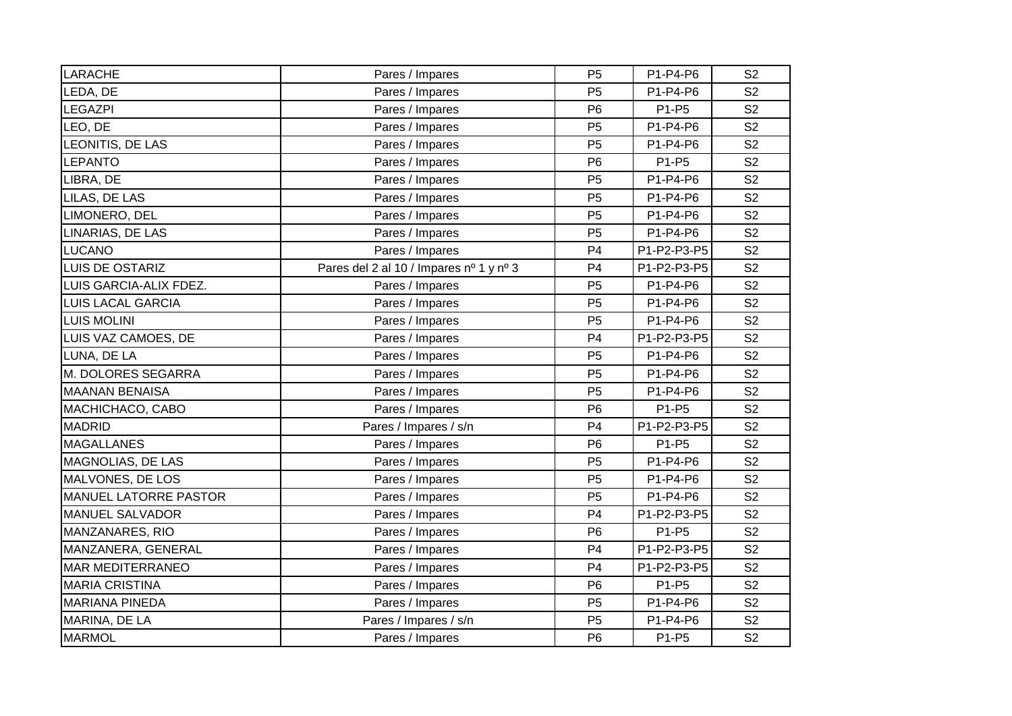| <b>LARACHE</b>               | Pares / Impares                         | P <sub>5</sub> | P1-P4-P6    | S <sub>2</sub> |
|------------------------------|-----------------------------------------|----------------|-------------|----------------|
| LEDA, DE                     | Pares / Impares                         | P <sub>5</sub> | P1-P4-P6    | S <sub>2</sub> |
| LEGAZPI                      | Pares / Impares                         | P <sub>6</sub> | P1-P5       | S <sub>2</sub> |
| LEO, DE                      | Pares / Impares                         | P <sub>5</sub> | P1-P4-P6    | S <sub>2</sub> |
| LEONITIS, DE LAS             | Pares / Impares                         | P <sub>5</sub> | P1-P4-P6    | S <sub>2</sub> |
| LEPANTO                      | Pares / Impares                         | P <sub>6</sub> | P1-P5       | S <sub>2</sub> |
| LIBRA, DE                    | Pares / Impares                         | P <sub>5</sub> | P1-P4-P6    | S <sub>2</sub> |
| LILAS, DE LAS                | Pares / Impares                         | P <sub>5</sub> | P1-P4-P6    | S <sub>2</sub> |
| LIMONERO, DEL                | Pares / Impares                         | P <sub>5</sub> | P1-P4-P6    | S <sub>2</sub> |
| LINARIAS, DE LAS             | Pares / Impares                         | P <sub>5</sub> | P1-P4-P6    | S <sub>2</sub> |
| LUCANO                       | Pares / Impares                         | P <sub>4</sub> | P1-P2-P3-P5 | S <sub>2</sub> |
| LUIS DE OSTARIZ              | Pares del 2 al 10 / Impares nº 1 y nº 3 | P <sub>4</sub> | P1-P2-P3-P5 | S <sub>2</sub> |
| LUIS GARCIA-ALIX FDEZ.       | Pares / Impares                         | P <sub>5</sub> | P1-P4-P6    | S <sub>2</sub> |
| <b>LUIS LACAL GARCIA</b>     | Pares / Impares                         | P <sub>5</sub> | P1-P4-P6    | S <sub>2</sub> |
| <b>LUIS MOLINI</b>           | Pares / Impares                         | P <sub>5</sub> | P1-P4-P6    | S <sub>2</sub> |
| LUIS VAZ CAMOES, DE          | Pares / Impares                         | P <sub>4</sub> | P1-P2-P3-P5 | S <sub>2</sub> |
| LUNA, DE LA                  | Pares / Impares                         | P <sub>5</sub> | P1-P4-P6    | S <sub>2</sub> |
| M. DOLORES SEGARRA           | Pares / Impares                         | P <sub>5</sub> | P1-P4-P6    | S <sub>2</sub> |
| <b>MAANAN BENAISA</b>        | Pares / Impares                         | P <sub>5</sub> | P1-P4-P6    | S <sub>2</sub> |
| MACHICHACO, CABO             | Pares / Impares                         | P <sub>6</sub> | P1-P5       | S <sub>2</sub> |
| <b>MADRID</b>                | Pares / Impares / s/n                   | P <sub>4</sub> | P1-P2-P3-P5 | S <sub>2</sub> |
| <b>MAGALLANES</b>            | Pares / Impares                         | P <sub>6</sub> | P1-P5       | S <sub>2</sub> |
| MAGNOLIAS, DE LAS            | Pares / Impares                         | P <sub>5</sub> | P1-P4-P6    | S <sub>2</sub> |
| MALVONES, DE LOS             | Pares / Impares                         | P <sub>5</sub> | P1-P4-P6    | S <sub>2</sub> |
| <b>MANUEL LATORRE PASTOR</b> | Pares / Impares                         | P <sub>5</sub> | P1-P4-P6    | S <sub>2</sub> |
| MANUEL SALVADOR              | Pares / Impares                         | P <sub>4</sub> | P1-P2-P3-P5 | S <sub>2</sub> |
| MANZANARES, RIO              | Pares / Impares                         | P <sub>6</sub> | P1-P5       | S <sub>2</sub> |
| MANZANERA, GENERAL           | Pares / Impares                         | P <sub>4</sub> | P1-P2-P3-P5 | S <sub>2</sub> |
| <b>MAR MEDITERRANEO</b>      | Pares / Impares                         | P <sub>4</sub> | P1-P2-P3-P5 | S <sub>2</sub> |
| <b>MARIA CRISTINA</b>        | Pares / Impares                         | P <sub>6</sub> | P1-P5       | S <sub>2</sub> |
| <b>MARIANA PINEDA</b>        | Pares / Impares                         | P <sub>5</sub> | P1-P4-P6    | S <sub>2</sub> |
| MARINA, DE LA                | Pares / Impares / s/n                   | P <sub>5</sub> | P1-P4-P6    | S <sub>2</sub> |
| <b>MARMOL</b>                | Pares / Impares                         | P <sub>6</sub> | P1-P5       | S <sub>2</sub> |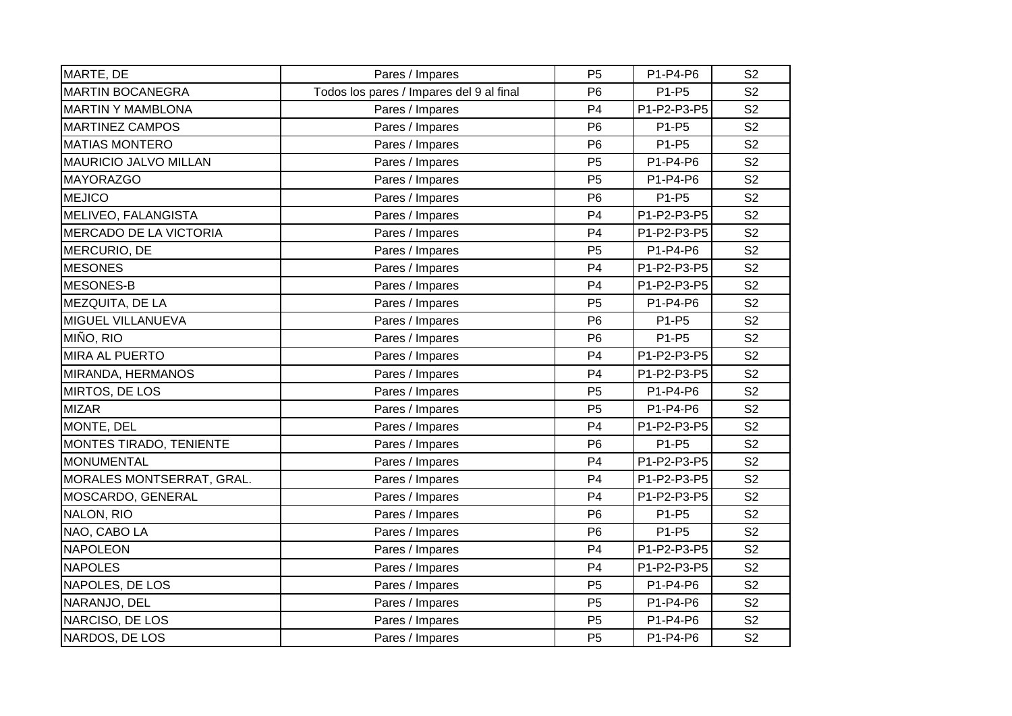| MARTE, DE                    | Pares / Impares                          | P <sub>5</sub> | P1-P4-P6    | S <sub>2</sub> |
|------------------------------|------------------------------------------|----------------|-------------|----------------|
| <b>MARTIN BOCANEGRA</b>      | Todos los pares / Impares del 9 al final | P <sub>6</sub> | P1-P5       | S <sub>2</sub> |
| <b>MARTIN Y MAMBLONA</b>     | Pares / Impares                          | P <sub>4</sub> | P1-P2-P3-P5 | S <sub>2</sub> |
| <b>MARTINEZ CAMPOS</b>       | Pares / Impares                          | P <sub>6</sub> | P1-P5       | S <sub>2</sub> |
| <b>MATIAS MONTERO</b>        | Pares / Impares                          | P <sub>6</sub> | P1-P5       | S <sub>2</sub> |
| <b>MAURICIO JALVO MILLAN</b> | Pares / Impares                          | P <sub>5</sub> | P1-P4-P6    | S <sub>2</sub> |
| <b>MAYORAZGO</b>             | Pares / Impares                          | P <sub>5</sub> | P1-P4-P6    | S <sub>2</sub> |
| <b>MEJICO</b>                | Pares / Impares                          | P <sub>6</sub> | P1-P5       | S <sub>2</sub> |
| MELIVEO, FALANGISTA          | Pares / Impares                          | P <sub>4</sub> | P1-P2-P3-P5 | S <sub>2</sub> |
| MERCADO DE LA VICTORIA       | Pares / Impares                          | P <sub>4</sub> | P1-P2-P3-P5 | S <sub>2</sub> |
| MERCURIO, DE                 | Pares / Impares                          | P <sub>5</sub> | P1-P4-P6    | S <sub>2</sub> |
| <b>MESONES</b>               | Pares / Impares                          | P <sub>4</sub> | P1-P2-P3-P5 | S <sub>2</sub> |
| MESONES-B                    | Pares / Impares                          | P <sub>4</sub> | P1-P2-P3-P5 | S <sub>2</sub> |
| MEZQUITA, DE LA              | Pares / Impares                          | P <sub>5</sub> | P1-P4-P6    | S <sub>2</sub> |
| MIGUEL VILLANUEVA            | Pares / Impares                          | P <sub>6</sub> | P1-P5       | S <sub>2</sub> |
| MIÑO, RIO                    | Pares / Impares                          | P <sub>6</sub> | P1-P5       | S <sub>2</sub> |
| <b>MIRA AL PUERTO</b>        | Pares / Impares                          | P <sub>4</sub> | P1-P2-P3-P5 | S <sub>2</sub> |
| MIRANDA, HERMANOS            | Pares / Impares                          | P <sub>4</sub> | P1-P2-P3-P5 | S <sub>2</sub> |
| MIRTOS, DE LOS               | Pares / Impares                          | P <sub>5</sub> | P1-P4-P6    | S <sub>2</sub> |
| <b>MIZAR</b>                 | Pares / Impares                          | P <sub>5</sub> | P1-P4-P6    | S <sub>2</sub> |
| MONTE, DEL                   | Pares / Impares                          | P <sub>4</sub> | P1-P2-P3-P5 | S <sub>2</sub> |
| MONTES TIRADO, TENIENTE      | Pares / Impares                          | P <sub>6</sub> | P1-P5       | S <sub>2</sub> |
| <b>MONUMENTAL</b>            | Pares / Impares                          | P <sub>4</sub> | P1-P2-P3-P5 | S <sub>2</sub> |
| MORALES MONTSERRAT, GRAL.    | Pares / Impares                          | P <sub>4</sub> | P1-P2-P3-P5 | S <sub>2</sub> |
| MOSCARDO, GENERAL            | Pares / Impares                          | P <sub>4</sub> | P1-P2-P3-P5 | S <sub>2</sub> |
| NALON, RIO                   | Pares / Impares                          | P <sub>6</sub> | P1-P5       | S <sub>2</sub> |
| NAO, CABO LA                 | Pares / Impares                          | P <sub>6</sub> | P1-P5       | S <sub>2</sub> |
| <b>NAPOLEON</b>              | Pares / Impares                          | P <sub>4</sub> | P1-P2-P3-P5 | S <sub>2</sub> |
| <b>NAPOLES</b>               | Pares / Impares                          | P <sub>4</sub> | P1-P2-P3-P5 | S <sub>2</sub> |
| NAPOLES, DE LOS              | Pares / Impares                          | P <sub>5</sub> | P1-P4-P6    | S <sub>2</sub> |
| NARANJO, DEL                 | Pares / Impares                          | P <sub>5</sub> | P1-P4-P6    | S <sub>2</sub> |
| NARCISO, DE LOS              | Pares / Impares                          | P <sub>5</sub> | P1-P4-P6    | S <sub>2</sub> |
| NARDOS, DE LOS               | Pares / Impares                          | P <sub>5</sub> | P1-P4-P6    | S <sub>2</sub> |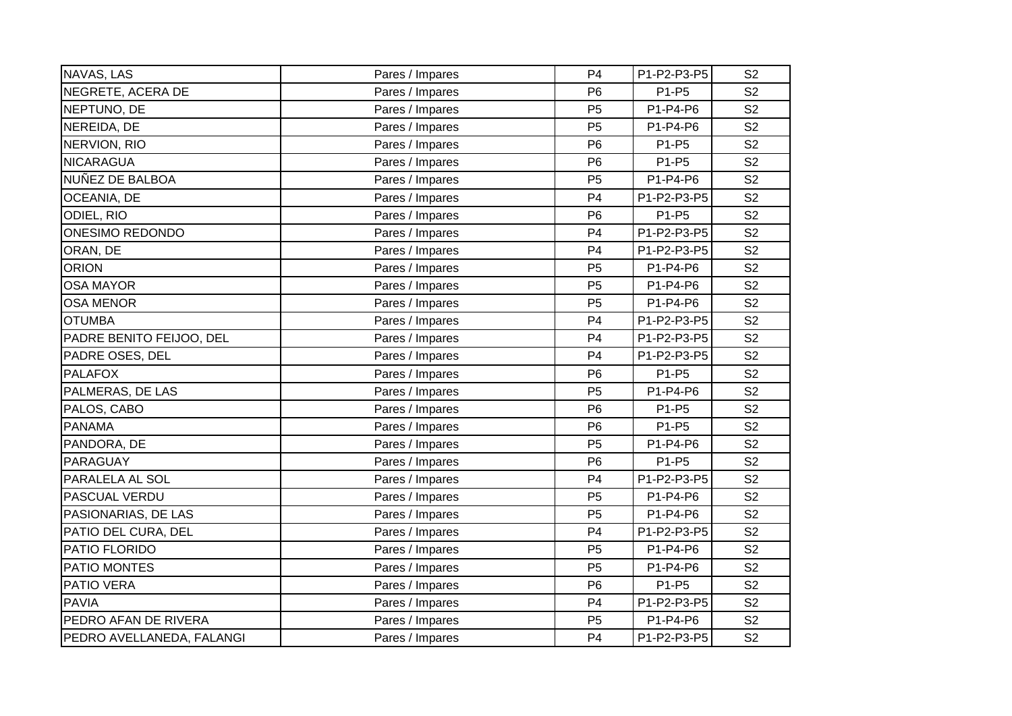| NAVAS, LAS                | Pares / Impares | P <sub>4</sub> | P1-P2-P3-P5 | S <sub>2</sub> |
|---------------------------|-----------------|----------------|-------------|----------------|
| NEGRETE, ACERA DE         | Pares / Impares | P <sub>6</sub> | P1-P5       | S <sub>2</sub> |
| NEPTUNO, DE               | Pares / Impares | P <sub>5</sub> | P1-P4-P6    | S <sub>2</sub> |
| NEREIDA, DE               | Pares / Impares | P <sub>5</sub> | P1-P4-P6    | S <sub>2</sub> |
| NERVION, RIO              | Pares / Impares | P <sub>6</sub> | P1-P5       | S <sub>2</sub> |
| <b>NICARAGUA</b>          | Pares / Impares | P <sub>6</sub> | P1-P5       | S <sub>2</sub> |
| NUÑEZ DE BALBOA           | Pares / Impares | P <sub>5</sub> | P1-P4-P6    | S <sub>2</sub> |
| OCEANIA, DE               | Pares / Impares | P4             | P1-P2-P3-P5 | S <sub>2</sub> |
| ODIEL, RIO                | Pares / Impares | P <sub>6</sub> | P1-P5       | S <sub>2</sub> |
| <b>ONESIMO REDONDO</b>    | Pares / Impares | P <sub>4</sub> | P1-P2-P3-P5 | S <sub>2</sub> |
| ORAN, DE                  | Pares / Impares | P <sub>4</sub> | P1-P2-P3-P5 | S <sub>2</sub> |
| <b>ORION</b>              | Pares / Impares | P <sub>5</sub> | P1-P4-P6    | S <sub>2</sub> |
| <b>OSA MAYOR</b>          | Pares / Impares | P <sub>5</sub> | P1-P4-P6    | S <sub>2</sub> |
| <b>OSA MENOR</b>          | Pares / Impares | P <sub>5</sub> | P1-P4-P6    | S <sub>2</sub> |
| <b>OTUMBA</b>             | Pares / Impares | P <sub>4</sub> | P1-P2-P3-P5 | S <sub>2</sub> |
| PADRE BENITO FEIJOO, DEL  | Pares / Impares | P <sub>4</sub> | P1-P2-P3-P5 | S <sub>2</sub> |
| PADRE OSES, DEL           | Pares / Impares | P <sub>4</sub> | P1-P2-P3-P5 | S <sub>2</sub> |
| <b>PALAFOX</b>            | Pares / Impares | P <sub>6</sub> | P1-P5       | S <sub>2</sub> |
| PALMERAS, DE LAS          | Pares / Impares | P <sub>5</sub> | P1-P4-P6    | S <sub>2</sub> |
| PALOS, CABO               | Pares / Impares | P <sub>6</sub> | P1-P5       | S <sub>2</sub> |
| <b>PANAMA</b>             | Pares / Impares | P <sub>6</sub> | P1-P5       | S <sub>2</sub> |
| PANDORA, DE               | Pares / Impares | P <sub>5</sub> | P1-P4-P6    | S <sub>2</sub> |
| PARAGUAY                  | Pares / Impares | P <sub>6</sub> | P1-P5       | S <sub>2</sub> |
| PARALELA AL SOL           | Pares / Impares | P <sub>4</sub> | P1-P2-P3-P5 | S <sub>2</sub> |
| PASCUAL VERDU             | Pares / Impares | P <sub>5</sub> | P1-P4-P6    | S <sub>2</sub> |
| PASIONARIAS, DE LAS       | Pares / Impares | P <sub>5</sub> | P1-P4-P6    | S <sub>2</sub> |
| PATIO DEL CURA, DEL       | Pares / Impares | P <sub>4</sub> | P1-P2-P3-P5 | S <sub>2</sub> |
| PATIO FLORIDO             | Pares / Impares | P <sub>5</sub> | P1-P4-P6    | S <sub>2</sub> |
| PATIO MONTES              | Pares / Impares | P <sub>5</sub> | P1-P4-P6    | S <sub>2</sub> |
| PATIO VERA                | Pares / Impares | P <sub>6</sub> | P1-P5       | S <sub>2</sub> |
| <b>PAVIA</b>              | Pares / Impares | P <sub>4</sub> | P1-P2-P3-P5 | S <sub>2</sub> |
| PEDRO AFAN DE RIVERA      | Pares / Impares | P <sub>5</sub> | P1-P4-P6    | S <sub>2</sub> |
| PEDRO AVELLANEDA, FALANGI | Pares / Impares | P <sub>4</sub> | P1-P2-P3-P5 | S <sub>2</sub> |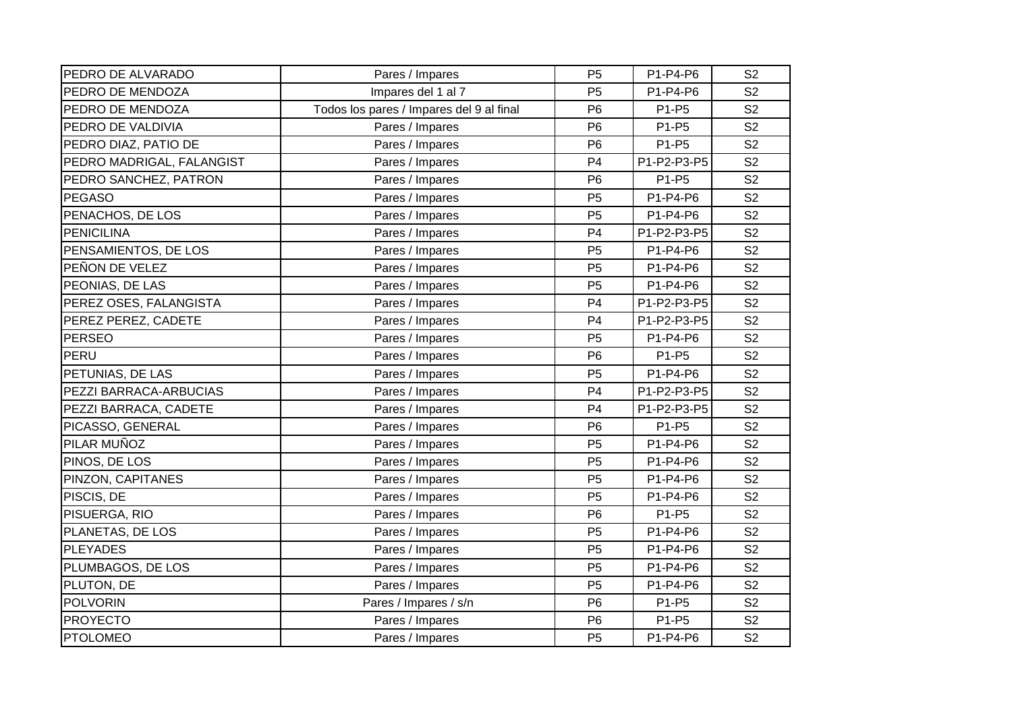| PEDRO DE ALVARADO         | Pares / Impares                          | P <sub>5</sub> | P1-P4-P6    | S <sub>2</sub> |
|---------------------------|------------------------------------------|----------------|-------------|----------------|
| PEDRO DE MENDOZA          | Impares del 1 al 7                       | P <sub>5</sub> | P1-P4-P6    | S <sub>2</sub> |
| PEDRO DE MENDOZA          | Todos los pares / Impares del 9 al final | P <sub>6</sub> | P1-P5       | S <sub>2</sub> |
| PEDRO DE VALDIVIA         | Pares / Impares                          | P <sub>6</sub> | P1-P5       | S <sub>2</sub> |
| PEDRO DIAZ, PATIO DE      | Pares / Impares                          | P <sub>6</sub> | P1-P5       | S <sub>2</sub> |
| PEDRO MADRIGAL, FALANGIST | Pares / Impares                          | P <sub>4</sub> | P1-P2-P3-P5 | S <sub>2</sub> |
| PEDRO SANCHEZ, PATRON     | Pares / Impares                          | P <sub>6</sub> | P1-P5       | S <sub>2</sub> |
| <b>PEGASO</b>             | Pares / Impares                          | P <sub>5</sub> | P1-P4-P6    | S <sub>2</sub> |
| PENACHOS, DE LOS          | Pares / Impares                          | P <sub>5</sub> | P1-P4-P6    | S <sub>2</sub> |
| <b>PENICILINA</b>         | Pares / Impares                          | P <sub>4</sub> | P1-P2-P3-P5 | S <sub>2</sub> |
| PENSAMIENTOS, DE LOS      | Pares / Impares                          | P <sub>5</sub> | P1-P4-P6    | S <sub>2</sub> |
| PEÑON DE VELEZ            | Pares / Impares                          | P <sub>5</sub> | P1-P4-P6    | S <sub>2</sub> |
| PEONIAS, DE LAS           | Pares / Impares                          | P <sub>5</sub> | P1-P4-P6    | S <sub>2</sub> |
| PEREZ OSES, FALANGISTA    | Pares / Impares                          | P <sub>4</sub> | P1-P2-P3-P5 | S <sub>2</sub> |
| PEREZ PEREZ, CADETE       | Pares / Impares                          | P <sub>4</sub> | P1-P2-P3-P5 | S <sub>2</sub> |
| <b>PERSEO</b>             | Pares / Impares                          | P <sub>5</sub> | P1-P4-P6    | S <sub>2</sub> |
| PERU                      | Pares / Impares                          | P <sub>6</sub> | P1-P5       | S <sub>2</sub> |
| PETUNIAS, DE LAS          | Pares / Impares                          | P <sub>5</sub> | $P1-P4-P6$  | S <sub>2</sub> |
| PEZZI BARRACA-ARBUCIAS    | Pares / Impares                          | P <sub>4</sub> | P1-P2-P3-P5 | S <sub>2</sub> |
| PEZZI BARRACA, CADETE     | Pares / Impares                          | P <sub>4</sub> | P1-P2-P3-P5 | S <sub>2</sub> |
| PICASSO, GENERAL          | Pares / Impares                          | P <sub>6</sub> | P1-P5       | S <sub>2</sub> |
| PILAR MUÑOZ               | Pares / Impares                          | P <sub>5</sub> | P1-P4-P6    | S <sub>2</sub> |
| PINOS, DE LOS             | Pares / Impares                          | P <sub>5</sub> | P1-P4-P6    | S <sub>2</sub> |
| PINZON, CAPITANES         | Pares / Impares                          | P <sub>5</sub> | P1-P4-P6    | S <sub>2</sub> |
| PISCIS, DE                | Pares / Impares                          | P <sub>5</sub> | P1-P4-P6    | S <sub>2</sub> |
| PISUERGA, RIO             | Pares / Impares                          | P <sub>6</sub> | P1-P5       | S <sub>2</sub> |
| PLANETAS, DE LOS          | Pares / Impares                          | P <sub>5</sub> | P1-P4-P6    | S <sub>2</sub> |
| <b>PLEYADES</b>           | Pares / Impares                          | P <sub>5</sub> | P1-P4-P6    | S <sub>2</sub> |
| PLUMBAGOS, DE LOS         | Pares / Impares                          | P <sub>5</sub> | P1-P4-P6    | S <sub>2</sub> |
| PLUTON, DE                | Pares / Impares                          | P <sub>5</sub> | P1-P4-P6    | S <sub>2</sub> |
| <b>POLVORIN</b>           | Pares / Impares / s/n                    | P <sub>6</sub> | P1-P5       | S <sub>2</sub> |
| <b>PROYECTO</b>           | Pares / Impares                          | P <sub>6</sub> | P1-P5       | S <sub>2</sub> |
| <b>PTOLOMEO</b>           | Pares / Impares                          | P <sub>5</sub> | P1-P4-P6    | S <sub>2</sub> |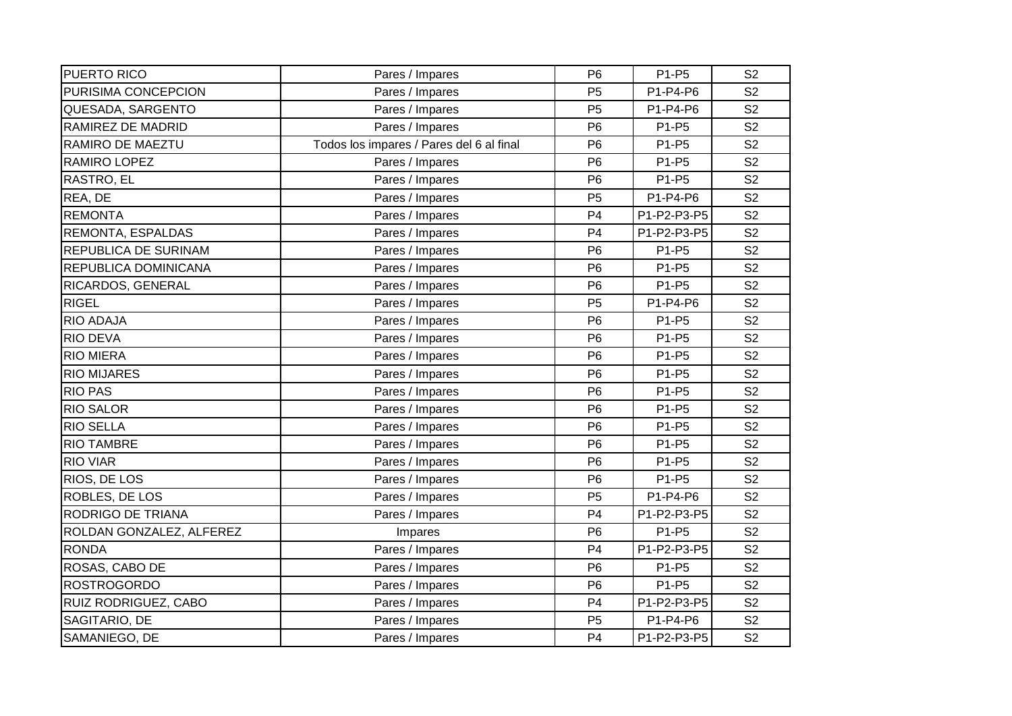| PUERTO RICO              | Pares / Impares                          | P <sub>6</sub> | P1-P5       | S <sub>2</sub> |
|--------------------------|------------------------------------------|----------------|-------------|----------------|
| PURISIMA CONCEPCION      | Pares / Impares                          | P <sub>5</sub> | P1-P4-P6    | S <sub>2</sub> |
| QUESADA, SARGENTO        | Pares / Impares                          | P <sub>5</sub> | P1-P4-P6    | S <sub>2</sub> |
| RAMIREZ DE MADRID        | Pares / Impares                          | P <sub>6</sub> | P1-P5       | S <sub>2</sub> |
| RAMIRO DE MAEZTU         | Todos los impares / Pares del 6 al final | P <sub>6</sub> | P1-P5       | S <sub>2</sub> |
| RAMIRO LOPEZ             | Pares / Impares                          | P <sub>6</sub> | P1-P5       | S <sub>2</sub> |
| RASTRO, EL               | Pares / Impares                          | P <sub>6</sub> | P1-P5       | S <sub>2</sub> |
| REA, DE                  | Pares / Impares                          | P <sub>5</sub> | P1-P4-P6    | S <sub>2</sub> |
| <b>REMONTA</b>           | Pares / Impares                          | P <sub>4</sub> | P1-P2-P3-P5 | S <sub>2</sub> |
| REMONTA, ESPALDAS        | Pares / Impares                          | P <sub>4</sub> | P1-P2-P3-P5 | S <sub>2</sub> |
| REPUBLICA DE SURINAM     | Pares / Impares                          | P <sub>6</sub> | P1-P5       | S <sub>2</sub> |
| REPUBLICA DOMINICANA     | Pares / Impares                          | P <sub>6</sub> | P1-P5       | S <sub>2</sub> |
| RICARDOS, GENERAL        | Pares / Impares                          | P <sub>6</sub> | P1-P5       | S <sub>2</sub> |
| <b>RIGEL</b>             | Pares / Impares                          | P <sub>5</sub> | P1-P4-P6    | S <sub>2</sub> |
| <b>RIO ADAJA</b>         | Pares / Impares                          | P <sub>6</sub> | P1-P5       | S <sub>2</sub> |
| <b>RIO DEVA</b>          | Pares / Impares                          | P <sub>6</sub> | P1-P5       | S <sub>2</sub> |
| <b>RIO MIERA</b>         | Pares / Impares                          | P <sub>6</sub> | P1-P5       | S <sub>2</sub> |
| <b>RIO MIJARES</b>       | Pares / Impares                          | P <sub>6</sub> | P1-P5       | S <sub>2</sub> |
| <b>RIO PAS</b>           | Pares / Impares                          | P <sub>6</sub> | P1-P5       | S <sub>2</sub> |
| <b>RIO SALOR</b>         | Pares / Impares                          | P <sub>6</sub> | P1-P5       | S <sub>2</sub> |
| <b>RIO SELLA</b>         | Pares / Impares                          | P <sub>6</sub> | P1-P5       | S <sub>2</sub> |
| <b>RIO TAMBRE</b>        | Pares / Impares                          | P <sub>6</sub> | P1-P5       | S <sub>2</sub> |
| <b>RIO VIAR</b>          | Pares / Impares                          | P <sub>6</sub> | P1-P5       | S <sub>2</sub> |
| RIOS, DE LOS             | Pares / Impares                          | P <sub>6</sub> | P1-P5       | S <sub>2</sub> |
| ROBLES, DE LOS           | Pares / Impares                          | P <sub>5</sub> | P1-P4-P6    | S <sub>2</sub> |
| RODRIGO DE TRIANA        | Pares / Impares                          | P <sub>4</sub> | P1-P2-P3-P5 | S <sub>2</sub> |
| ROLDAN GONZALEZ, ALFEREZ | Impares                                  | P <sub>6</sub> | P1-P5       | S <sub>2</sub> |
| <b>RONDA</b>             | Pares / Impares                          | P <sub>4</sub> | P1-P2-P3-P5 | S <sub>2</sub> |
| ROSAS, CABO DE           | Pares / Impares                          | P <sub>6</sub> | P1-P5       | S <sub>2</sub> |
| <b>ROSTROGORDO</b>       | Pares / Impares                          | P <sub>6</sub> | P1-P5       | S <sub>2</sub> |
| RUIZ RODRIGUEZ, CABO     | Pares / Impares                          | P <sub>4</sub> | P1-P2-P3-P5 | S <sub>2</sub> |
| SAGITARIO, DE            | Pares / Impares                          | P <sub>5</sub> | P1-P4-P6    | S <sub>2</sub> |
| SAMANIEGO, DE            | Pares / Impares                          | P <sub>4</sub> | P1-P2-P3-P5 | S <sub>2</sub> |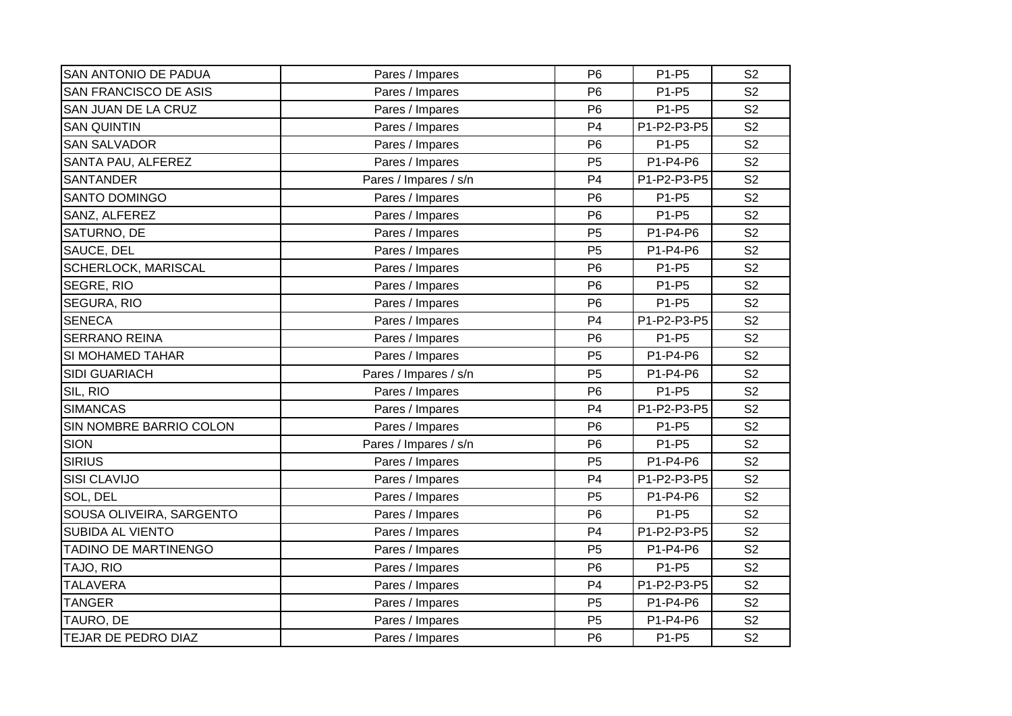| <b>SAN ANTONIO DE PADUA</b>  | Pares / Impares       | P <sub>6</sub> | P1-P5       | S <sub>2</sub> |
|------------------------------|-----------------------|----------------|-------------|----------------|
| <b>SAN FRANCISCO DE ASIS</b> | Pares / Impares       | P <sub>6</sub> | P1-P5       | S <sub>2</sub> |
| SAN JUAN DE LA CRUZ          | Pares / Impares       | P <sub>6</sub> | P1-P5       | S <sub>2</sub> |
| <b>SAN QUINTIN</b>           | Pares / Impares       | P <sub>4</sub> | P1-P2-P3-P5 | S <sub>2</sub> |
| <b>SAN SALVADOR</b>          | Pares / Impares       | P <sub>6</sub> | P1-P5       | S <sub>2</sub> |
| SANTA PAU, ALFEREZ           | Pares / Impares       | P <sub>5</sub> | P1-P4-P6    | S <sub>2</sub> |
| <b>SANTANDER</b>             | Pares / Impares / s/n | P <sub>4</sub> | P1-P2-P3-P5 | S <sub>2</sub> |
| <b>SANTO DOMINGO</b>         | Pares / Impares       | P <sub>6</sub> | P1-P5       | S <sub>2</sub> |
| SANZ, ALFEREZ                | Pares / Impares       | P <sub>6</sub> | P1-P5       | S <sub>2</sub> |
| SATURNO, DE                  | Pares / Impares       | P <sub>5</sub> | P1-P4-P6    | S <sub>2</sub> |
| SAUCE, DEL                   | Pares / Impares       | P <sub>5</sub> | P1-P4-P6    | S <sub>2</sub> |
| <b>SCHERLOCK, MARISCAL</b>   | Pares / Impares       | P <sub>6</sub> | P1-P5       | S <sub>2</sub> |
| SEGRE, RIO                   | Pares / Impares       | P <sub>6</sub> | P1-P5       | S <sub>2</sub> |
| SEGURA, RIO                  | Pares / Impares       | P <sub>6</sub> | P1-P5       | S <sub>2</sub> |
| <b>SENECA</b>                | Pares / Impares       | P <sub>4</sub> | P1-P2-P3-P5 | S <sub>2</sub> |
| <b>SERRANO REINA</b>         | Pares / Impares       | P <sub>6</sub> | P1-P5       | S <sub>2</sub> |
| SI MOHAMED TAHAR             | Pares / Impares       | P <sub>5</sub> | P1-P4-P6    | S <sub>2</sub> |
| <b>SIDI GUARIACH</b>         | Pares / Impares / s/n | P <sub>5</sub> | P1-P4-P6    | S <sub>2</sub> |
| SIL, RIO                     | Pares / Impares       | P <sub>6</sub> | P1-P5       | S <sub>2</sub> |
| <b>SIMANCAS</b>              | Pares / Impares       | P <sub>4</sub> | P1-P2-P3-P5 | S <sub>2</sub> |
| SIN NOMBRE BARRIO COLON      | Pares / Impares       | P <sub>6</sub> | P1-P5       | S <sub>2</sub> |
| <b>SION</b>                  | Pares / Impares / s/n | P <sub>6</sub> | P1-P5       | S <sub>2</sub> |
| <b>SIRIUS</b>                | Pares / Impares       | P <sub>5</sub> | P1-P4-P6    | S <sub>2</sub> |
| <b>SISI CLAVIJO</b>          | Pares / Impares       | P <sub>4</sub> | P1-P2-P3-P5 | S <sub>2</sub> |
| SOL, DEL                     | Pares / Impares       | P <sub>5</sub> | P1-P4-P6    | S <sub>2</sub> |
| SOUSA OLIVEIRA, SARGENTO     | Pares / Impares       | P <sub>6</sub> | P1-P5       | S <sub>2</sub> |
| <b>SUBIDA AL VIENTO</b>      | Pares / Impares       | P <sub>4</sub> | P1-P2-P3-P5 | S <sub>2</sub> |
| TADINO DE MARTINENGO         | Pares / Impares       | P <sub>5</sub> | P1-P4-P6    | S <sub>2</sub> |
| TAJO, RIO                    | Pares / Impares       | P <sub>6</sub> | P1-P5       | S <sub>2</sub> |
| <b>TALAVERA</b>              | Pares / Impares       | P <sub>4</sub> | P1-P2-P3-P5 | S <sub>2</sub> |
| <b>TANGER</b>                | Pares / Impares       | P <sub>5</sub> | P1-P4-P6    | S <sub>2</sub> |
| TAURO, DE                    | Pares / Impares       | P <sub>5</sub> | P1-P4-P6    | S <sub>2</sub> |
| TEJAR DE PEDRO DIAZ          | Pares / Impares       | P <sub>6</sub> | P1-P5       | S <sub>2</sub> |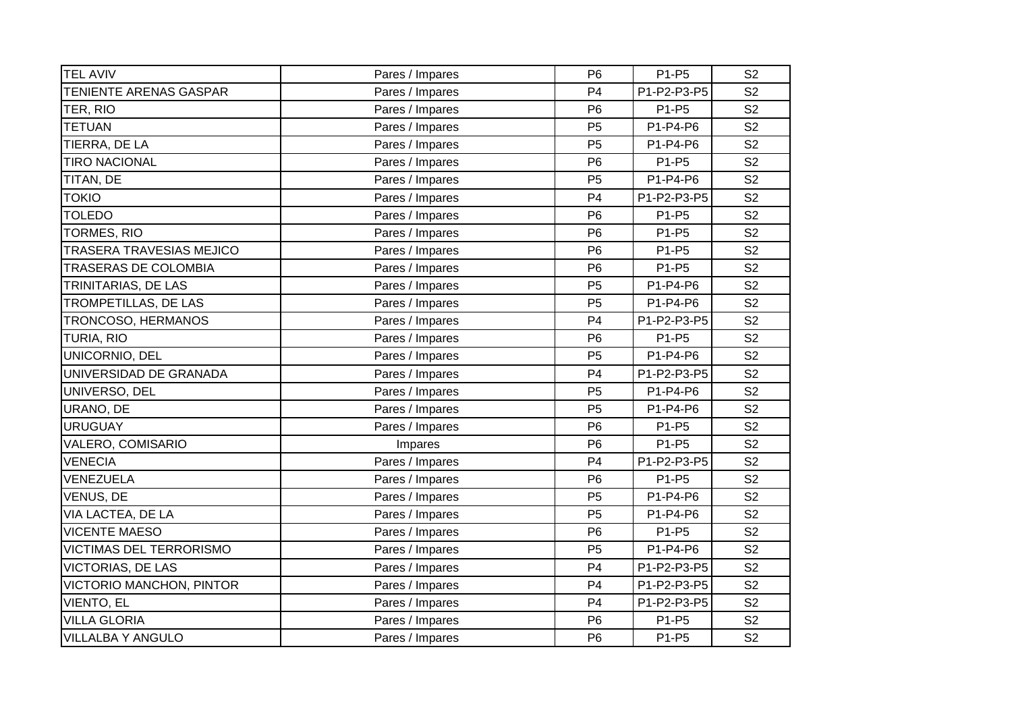| <b>TEL AVIV</b>          | Pares / Impares | P <sub>6</sub> | P1-P5       | S <sub>2</sub> |
|--------------------------|-----------------|----------------|-------------|----------------|
| TENIENTE ARENAS GASPAR   | Pares / Impares | P <sub>4</sub> | P1-P2-P3-P5 | S <sub>2</sub> |
| TER, RIO                 | Pares / Impares | P <sub>6</sub> | P1-P5       | S <sub>2</sub> |
| <b>TETUAN</b>            | Pares / Impares | P <sub>5</sub> | P1-P4-P6    | S <sub>2</sub> |
| TIERRA, DE LA            | Pares / Impares | P <sub>5</sub> | P1-P4-P6    | S <sub>2</sub> |
| <b>TIRO NACIONAL</b>     | Pares / Impares | P <sub>6</sub> | P1-P5       | S <sub>2</sub> |
| TITAN, DE                | Pares / Impares | P <sub>5</sub> | P1-P4-P6    | S <sub>2</sub> |
| <b>TOKIO</b>             | Pares / Impares | P <sub>4</sub> | P1-P2-P3-P5 | S <sub>2</sub> |
| <b>TOLEDO</b>            | Pares / Impares | P <sub>6</sub> | P1-P5       | S <sub>2</sub> |
| <b>TORMES, RIO</b>       | Pares / Impares | P <sub>6</sub> | P1-P5       | S <sub>2</sub> |
| TRASERA TRAVESIAS MEJICO | Pares / Impares | P <sub>6</sub> | P1-P5       | S <sub>2</sub> |
| TRASERAS DE COLOMBIA     | Pares / Impares | P <sub>6</sub> | P1-P5       | S <sub>2</sub> |
| TRINITARIAS, DE LAS      | Pares / Impares | P <sub>5</sub> | P1-P4-P6    | S <sub>2</sub> |
| TROMPETILLAS, DE LAS     | Pares / Impares | P <sub>5</sub> | P1-P4-P6    | S <sub>2</sub> |
| TRONCOSO, HERMANOS       | Pares / Impares | P <sub>4</sub> | P1-P2-P3-P5 | S <sub>2</sub> |
| TURIA, RIO               | Pares / Impares | P <sub>6</sub> | P1-P5       | S <sub>2</sub> |
| UNICORNIO, DEL           | Pares / Impares | P <sub>5</sub> | P1-P4-P6    | S <sub>2</sub> |
| UNIVERSIDAD DE GRANADA   | Pares / Impares | P <sub>4</sub> | P1-P2-P3-P5 | S <sub>2</sub> |
| UNIVERSO, DEL            | Pares / Impares | P <sub>5</sub> | P1-P4-P6    | S <sub>2</sub> |
| URANO, DE                | Pares / Impares | P <sub>5</sub> | P1-P4-P6    | S <sub>2</sub> |
| <b>URUGUAY</b>           | Pares / Impares | P <sub>6</sub> | P1-P5       | S <sub>2</sub> |
| VALERO, COMISARIO        | Impares         | P <sub>6</sub> | P1-P5       | S <sub>2</sub> |
| <b>VENECIA</b>           | Pares / Impares | P <sub>4</sub> | P1-P2-P3-P5 | S <sub>2</sub> |
| VENEZUELA                | Pares / Impares | P <sub>6</sub> | P1-P5       | S <sub>2</sub> |
| VENUS, DE                | Pares / Impares | P <sub>5</sub> | P1-P4-P6    | S <sub>2</sub> |
| VIA LACTEA, DE LA        | Pares / Impares | P <sub>5</sub> | P1-P4-P6    | S <sub>2</sub> |
| <b>VICENTE MAESO</b>     | Pares / Impares | P <sub>6</sub> | P1-P5       | S <sub>2</sub> |
| VICTIMAS DEL TERRORISMO  | Pares / Impares | P <sub>5</sub> | P1-P4-P6    | S <sub>2</sub> |
| <b>VICTORIAS, DE LAS</b> | Pares / Impares | P <sub>4</sub> | P1-P2-P3-P5 | S <sub>2</sub> |
| VICTORIO MANCHON, PINTOR | Pares / Impares | P <sub>4</sub> | P1-P2-P3-P5 | S <sub>2</sub> |
| VIENTO, EL               | Pares / Impares | P <sub>4</sub> | P1-P2-P3-P5 | S <sub>2</sub> |
| <b>VILLA GLORIA</b>      | Pares / Impares | P <sub>6</sub> | P1-P5       | S <sub>2</sub> |
| <b>VILLALBA Y ANGULO</b> | Pares / Impares | P <sub>6</sub> | P1-P5       | S <sub>2</sub> |